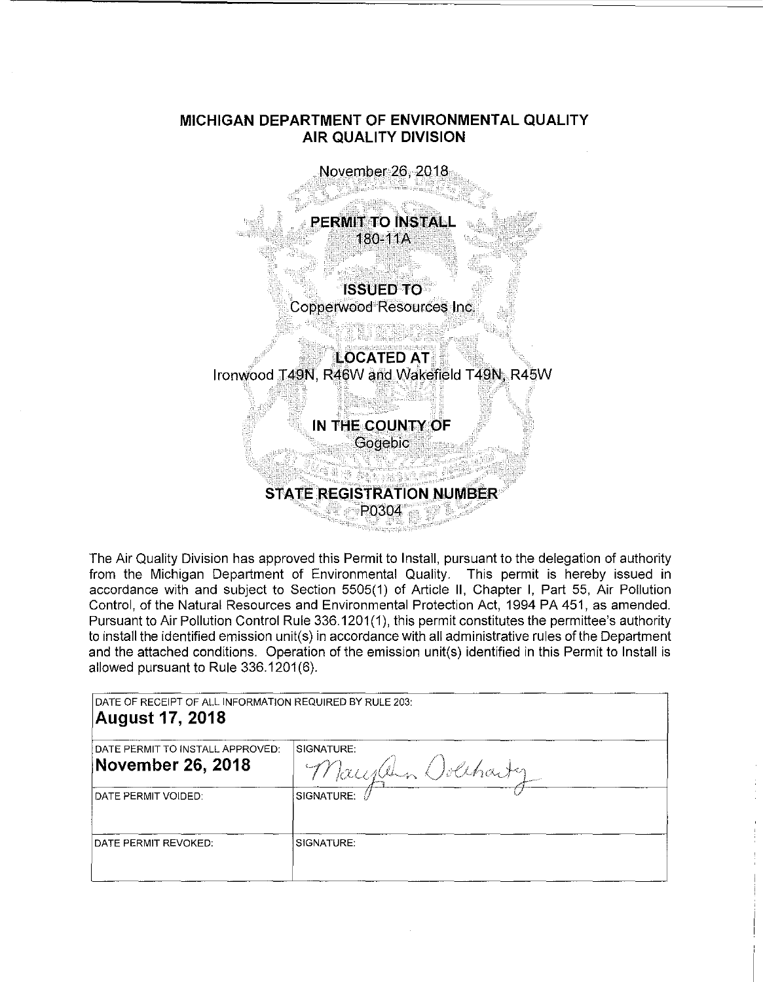# MICHIGAN DEPARTMENT OF ENVIRONMENTAL QUALITY **AIR QUALITY DIVISION**

November 26, 2018 PERMIT TO INSTALI 180-11A **ISSUED TO Copperwood Resources Inc LOCATED AT** Ironwood T49N, R46W and Wakefield T49N, R45W IN THE COUNTY OF Gogebic **STATE REGISTRATION NUMBER** P0304

The Air Quality Division has approved this Permit to Install, pursuant to the delegation of authority from the Michigan Department of Environmental Quality. This permit is hereby issued in accordance with and subject to Section 5505(1) of Article II, Chapter I, Part 55, Air Pollution Control, of the Natural Resources and Environmental Protection Act, 1994 PA 451, as amended. Pursuant to Air Pollution Control Rule 336.1201(1), this permit constitutes the permittee's authority to install the identified emission unit(s) in accordance with all administrative rules of the Department and the attached conditions. Operation of the emission unit(s) identified in this Permit to Install is allowed pursuant to Rule 336.1201(6).

| DATE OF RECEIPT OF ALL INFORMATION REQUIRED BY RULE 203:<br><b>August 17, 2018</b> |                        |  |  |  |
|------------------------------------------------------------------------------------|------------------------|--|--|--|
| DATE PERMIT TO INSTALL APPROVED:<br>November 26, 2018                              | SIGNATURE:<br>Herharty |  |  |  |
| I DATE PERMIT VOIDED:                                                              | SIGNATURE:             |  |  |  |
| DATE PERMIT REVOKED:                                                               | SIGNATURE:             |  |  |  |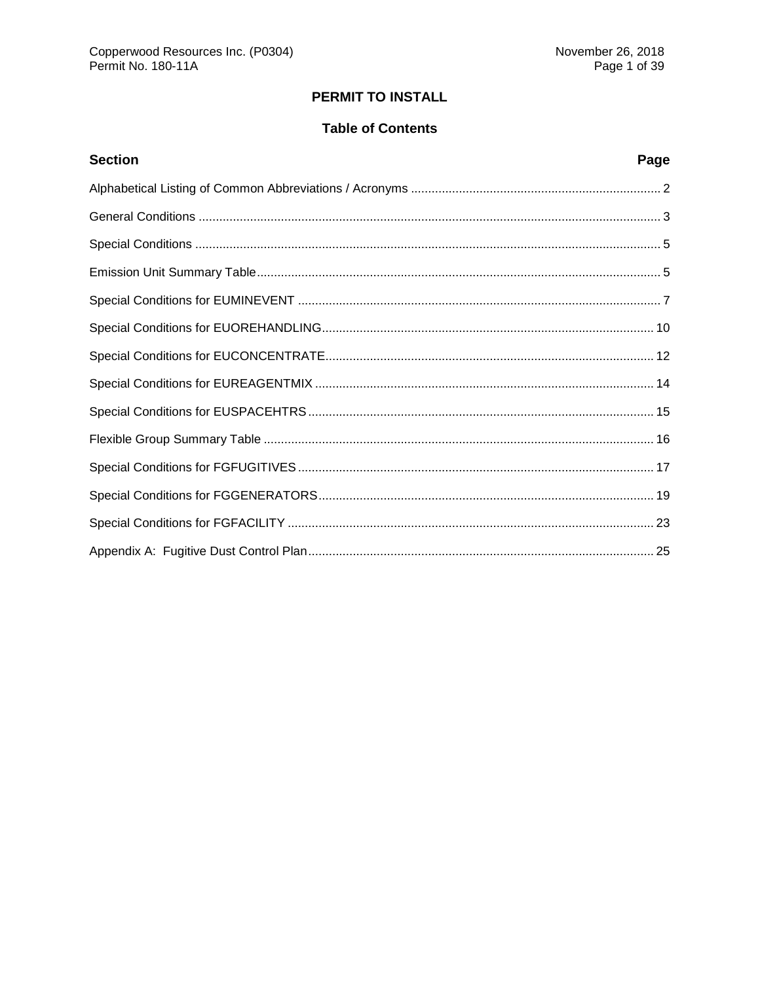# **PERMIT TO INSTALL**

# **Table of Contents**

| Section | Page |
|---------|------|
|         |      |
|         |      |
|         |      |
|         |      |
|         |      |
|         |      |
|         |      |
|         |      |
|         |      |
|         |      |
|         |      |
|         |      |
|         |      |
|         |      |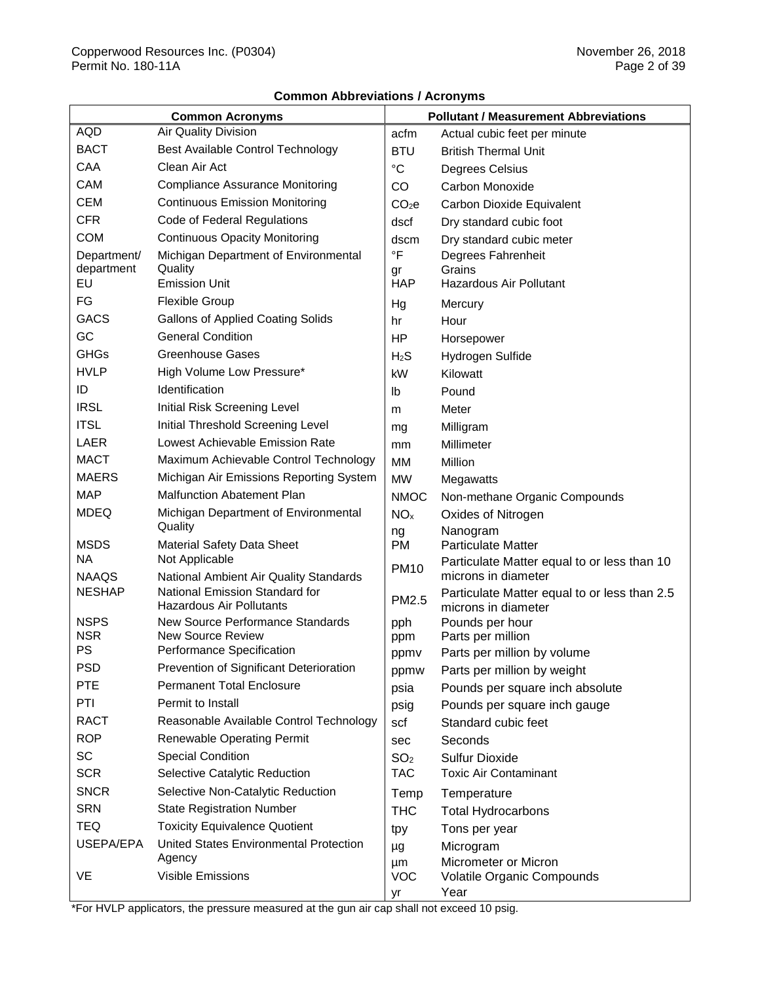# **Common Abbreviations / Acronyms**

|                           | <b>Common Acronyms</b>                                            | <b>Pollutant / Measurement Abbreviations</b> |                                                                     |  |  |
|---------------------------|-------------------------------------------------------------------|----------------------------------------------|---------------------------------------------------------------------|--|--|
| AQD                       | <b>Air Quality Division</b>                                       | acfm                                         | Actual cubic feet per minute                                        |  |  |
| <b>BACT</b>               | Best Available Control Technology                                 | <b>BTU</b>                                   | <b>British Thermal Unit</b>                                         |  |  |
| CAA                       | Clean Air Act                                                     | $^{\circ}C$                                  | Degrees Celsius                                                     |  |  |
| CAM                       | <b>Compliance Assurance Monitoring</b>                            | CO                                           | Carbon Monoxide                                                     |  |  |
| <b>CEM</b>                | <b>Continuous Emission Monitoring</b>                             | CO <sub>2</sub> e                            | Carbon Dioxide Equivalent                                           |  |  |
| <b>CFR</b>                | Code of Federal Regulations                                       | dscf                                         | Dry standard cubic foot                                             |  |  |
| <b>COM</b>                | <b>Continuous Opacity Monitoring</b>                              | dscm                                         | Dry standard cubic meter                                            |  |  |
| Department/<br>department | Michigan Department of Environmental<br>Quality                   | $\circ$ F<br>gr                              | Degrees Fahrenheit<br>Grains                                        |  |  |
| EU                        | <b>Emission Unit</b>                                              | <b>HAP</b>                                   | Hazardous Air Pollutant                                             |  |  |
| FG                        | Flexible Group                                                    | Hg                                           | Mercury                                                             |  |  |
| <b>GACS</b>               | <b>Gallons of Applied Coating Solids</b>                          | hr                                           | Hour                                                                |  |  |
| GC                        | <b>General Condition</b>                                          | HP                                           | Horsepower                                                          |  |  |
| <b>GHGs</b>               | <b>Greenhouse Gases</b>                                           | $H_2S$                                       | Hydrogen Sulfide                                                    |  |  |
| <b>HVLP</b>               | High Volume Low Pressure*                                         | kW                                           | Kilowatt                                                            |  |  |
| ID                        | Identification                                                    | Ib                                           | Pound                                                               |  |  |
| <b>IRSL</b>               | Initial Risk Screening Level                                      | m                                            | Meter                                                               |  |  |
| <b>ITSL</b>               | Initial Threshold Screening Level                                 | mg                                           | Milligram                                                           |  |  |
| LAER                      | Lowest Achievable Emission Rate                                   | mm                                           | Millimeter                                                          |  |  |
| <b>MACT</b>               | Maximum Achievable Control Technology                             | MМ                                           | Million                                                             |  |  |
| <b>MAERS</b>              | Michigan Air Emissions Reporting System                           | <b>MW</b>                                    | Megawatts                                                           |  |  |
| <b>MAP</b>                | <b>Malfunction Abatement Plan</b>                                 | <b>NMOC</b>                                  | Non-methane Organic Compounds                                       |  |  |
| MDEQ                      | Michigan Department of Environmental                              | NO <sub>x</sub>                              | Oxides of Nitrogen                                                  |  |  |
|                           | Quality                                                           | ng                                           | Nanogram                                                            |  |  |
| <b>MSDS</b><br><b>NA</b>  | <b>Material Safety Data Sheet</b>                                 | PM                                           | <b>Particulate Matter</b>                                           |  |  |
| <b>NAAQS</b>              | Not Applicable<br>National Ambient Air Quality Standards          | <b>PM10</b>                                  | Particulate Matter equal to or less than 10<br>microns in diameter  |  |  |
| <b>NESHAP</b>             | National Emission Standard for<br><b>Hazardous Air Pollutants</b> | PM2.5                                        | Particulate Matter equal to or less than 2.5<br>microns in diameter |  |  |
| <b>NSPS</b>               | New Source Performance Standards                                  | pph                                          | Pounds per hour                                                     |  |  |
| <b>NSR</b>                | <b>New Source Review</b>                                          | ppm                                          | Parts per million                                                   |  |  |
| PS                        | Performance Specification                                         | ppmv                                         | Parts per million by volume                                         |  |  |
| <b>PSD</b>                | Prevention of Significant Deterioration                           | ppmw                                         | Parts per million by weight                                         |  |  |
| <b>PTE</b>                | <b>Permanent Total Enclosure</b>                                  | psia                                         | Pounds per square inch absolute                                     |  |  |
| PTI                       | Permit to Install                                                 | psig                                         | Pounds per square inch gauge                                        |  |  |
| <b>RACT</b>               | Reasonable Available Control Technology                           | scf                                          | Standard cubic feet                                                 |  |  |
| <b>ROP</b>                | Renewable Operating Permit                                        | sec                                          | Seconds                                                             |  |  |
| <b>SC</b>                 | <b>Special Condition</b>                                          | SO <sub>2</sub>                              | <b>Sulfur Dioxide</b>                                               |  |  |
| <b>SCR</b>                | Selective Catalytic Reduction                                     | <b>TAC</b>                                   | <b>Toxic Air Contaminant</b>                                        |  |  |
| <b>SNCR</b>               | Selective Non-Catalytic Reduction                                 | Temp                                         | Temperature                                                         |  |  |
| <b>SRN</b>                | <b>State Registration Number</b>                                  | <b>THC</b>                                   | <b>Total Hydrocarbons</b>                                           |  |  |
| TEQ                       | <b>Toxicity Equivalence Quotient</b>                              | tpy                                          | Tons per year                                                       |  |  |
| USEPA/EPA                 | <b>United States Environmental Protection</b>                     | μg                                           | Microgram                                                           |  |  |
|                           | Agency                                                            | μm                                           | Micrometer or Micron                                                |  |  |
| VE                        | <b>Visible Emissions</b>                                          | <b>VOC</b>                                   | Volatile Organic Compounds                                          |  |  |
|                           |                                                                   | yr                                           | Year                                                                |  |  |

\*For HVLP applicators, the pressure measured at the gun air cap shall not exceed 10 psig.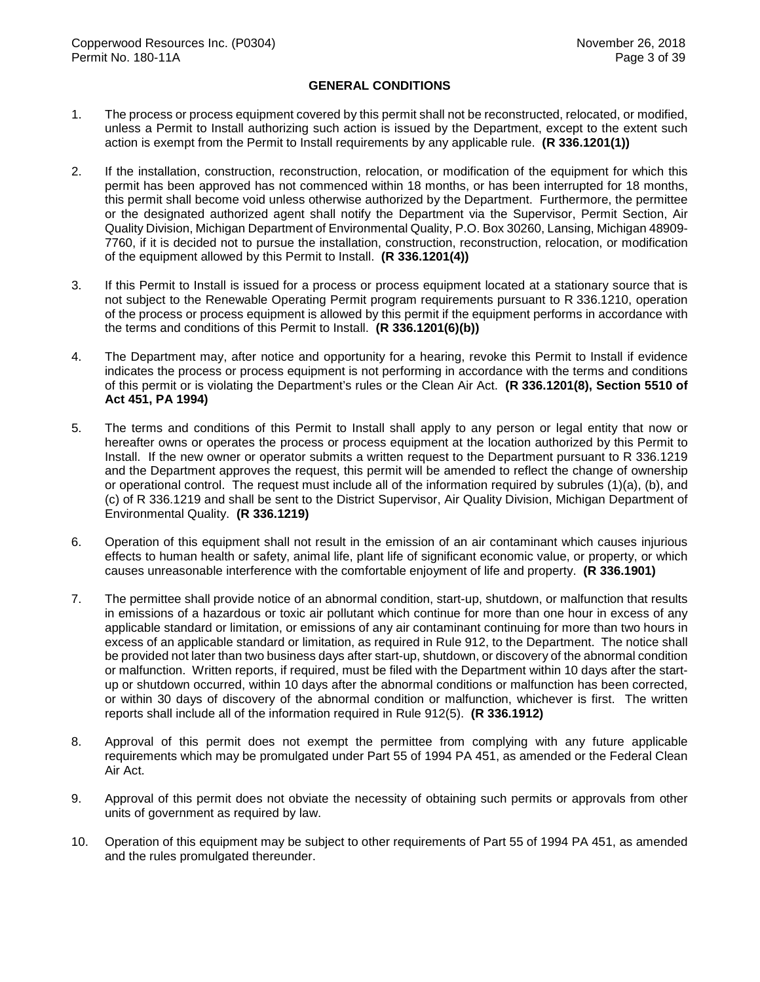# **GENERAL CONDITIONS**

- 1. The process or process equipment covered by this permit shall not be reconstructed, relocated, or modified, unless a Permit to Install authorizing such action is issued by the Department, except to the extent such action is exempt from the Permit to Install requirements by any applicable rule. **(R 336.1201(1))**
- 2. If the installation, construction, reconstruction, relocation, or modification of the equipment for which this permit has been approved has not commenced within 18 months, or has been interrupted for 18 months, this permit shall become void unless otherwise authorized by the Department. Furthermore, the permittee or the designated authorized agent shall notify the Department via the Supervisor, Permit Section, Air Quality Division, Michigan Department of Environmental Quality, P.O. Box 30260, Lansing, Michigan 48909- 7760, if it is decided not to pursue the installation, construction, reconstruction, relocation, or modification of the equipment allowed by this Permit to Install. **(R 336.1201(4))**
- 3. If this Permit to Install is issued for a process or process equipment located at a stationary source that is not subject to the Renewable Operating Permit program requirements pursuant to R 336.1210, operation of the process or process equipment is allowed by this permit if the equipment performs in accordance with the terms and conditions of this Permit to Install. **(R 336.1201(6)(b))**
- 4. The Department may, after notice and opportunity for a hearing, revoke this Permit to Install if evidence indicates the process or process equipment is not performing in accordance with the terms and conditions of this permit or is violating the Department's rules or the Clean Air Act. **(R 336.1201(8), Section 5510 of Act 451, PA 1994)**
- 5. The terms and conditions of this Permit to Install shall apply to any person or legal entity that now or hereafter owns or operates the process or process equipment at the location authorized by this Permit to Install. If the new owner or operator submits a written request to the Department pursuant to R 336.1219 and the Department approves the request, this permit will be amended to reflect the change of ownership or operational control. The request must include all of the information required by subrules (1)(a), (b), and (c) of R 336.1219 and shall be sent to the District Supervisor, Air Quality Division, Michigan Department of Environmental Quality. **(R 336.1219)**
- 6. Operation of this equipment shall not result in the emission of an air contaminant which causes injurious effects to human health or safety, animal life, plant life of significant economic value, or property, or which causes unreasonable interference with the comfortable enjoyment of life and property. **(R 336.1901)**
- 7. The permittee shall provide notice of an abnormal condition, start-up, shutdown, or malfunction that results in emissions of a hazardous or toxic air pollutant which continue for more than one hour in excess of any applicable standard or limitation, or emissions of any air contaminant continuing for more than two hours in excess of an applicable standard or limitation, as required in Rule 912, to the Department. The notice shall be provided not later than two business days after start-up, shutdown, or discovery of the abnormal condition or malfunction. Written reports, if required, must be filed with the Department within 10 days after the startup or shutdown occurred, within 10 days after the abnormal conditions or malfunction has been corrected, or within 30 days of discovery of the abnormal condition or malfunction, whichever is first. The written reports shall include all of the information required in Rule 912(5). **(R 336.1912)**
- 8. Approval of this permit does not exempt the permittee from complying with any future applicable requirements which may be promulgated under Part 55 of 1994 PA 451, as amended or the Federal Clean Air Act.
- 9. Approval of this permit does not obviate the necessity of obtaining such permits or approvals from other units of government as required by law.
- 10. Operation of this equipment may be subject to other requirements of Part 55 of 1994 PA 451, as amended and the rules promulgated thereunder.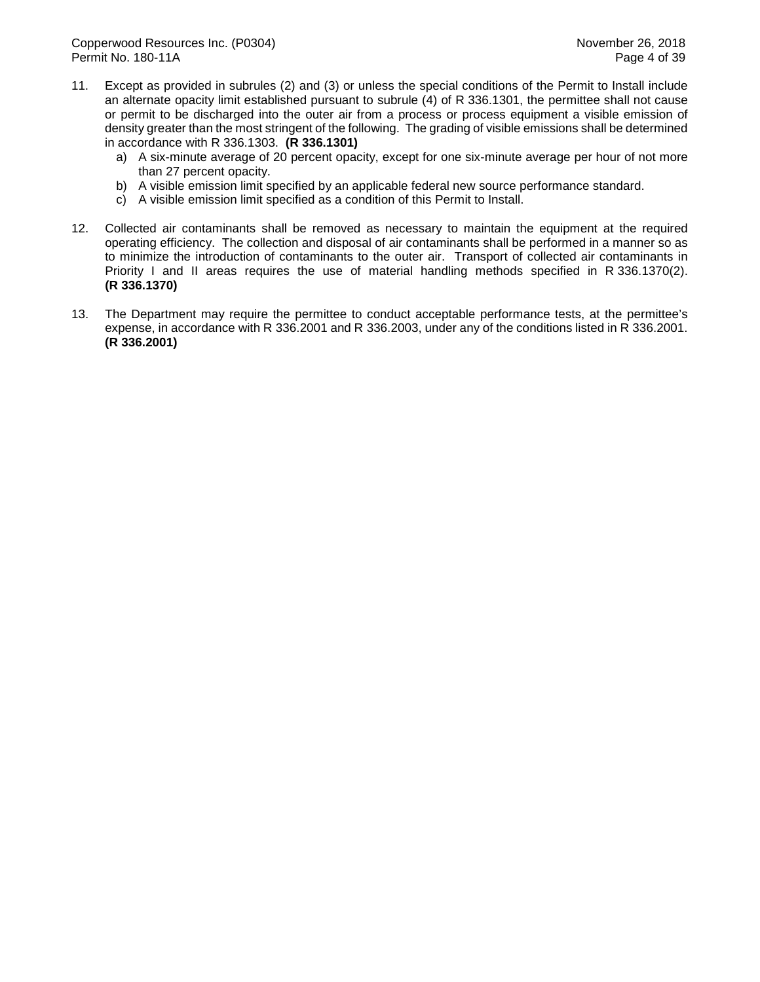- 11. Except as provided in subrules (2) and (3) or unless the special conditions of the Permit to Install include an alternate opacity limit established pursuant to subrule (4) of R 336.1301, the permittee shall not cause or permit to be discharged into the outer air from a process or process equipment a visible emission of density greater than the most stringent of the following. The grading of visible emissions shall be determined in accordance with R 336.1303. **(R 336.1301)** 
	- a) A six-minute average of 20 percent opacity, except for one six-minute average per hour of not more than 27 percent opacity.
	- b) A visible emission limit specified by an applicable federal new source performance standard.
	- c) A visible emission limit specified as a condition of this Permit to Install.
- 12. Collected air contaminants shall be removed as necessary to maintain the equipment at the required operating efficiency. The collection and disposal of air contaminants shall be performed in a manner so as to minimize the introduction of contaminants to the outer air. Transport of collected air contaminants in Priority I and II areas requires the use of material handling methods specified in R 336.1370(2). **(R 336.1370)**
- 13. The Department may require the permittee to conduct acceptable performance tests, at the permittee's expense, in accordance with R 336.2001 and R 336.2003, under any of the conditions listed in R 336.2001. **(R 336.2001)**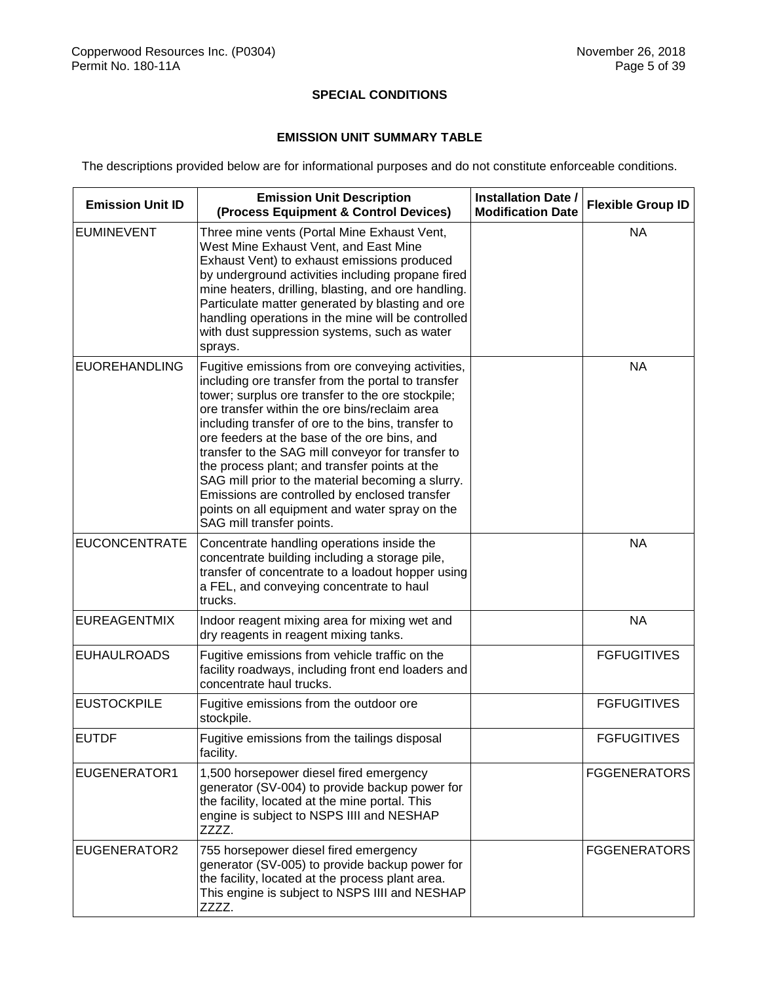# **SPECIAL CONDITIONS**

# **EMISSION UNIT SUMMARY TABLE**

The descriptions provided below are for informational purposes and do not constitute enforceable conditions.

| <b>Emission Unit ID</b> | <b>Emission Unit Description</b><br>(Process Equipment & Control Devices)                                                                                                                                                                                                                                                                                                                                                                                                                                                                                                                                      | <b>Installation Date /</b><br><b>Modification Date</b> | <b>Flexible Group ID</b> |
|-------------------------|----------------------------------------------------------------------------------------------------------------------------------------------------------------------------------------------------------------------------------------------------------------------------------------------------------------------------------------------------------------------------------------------------------------------------------------------------------------------------------------------------------------------------------------------------------------------------------------------------------------|--------------------------------------------------------|--------------------------|
| <b>EUMINEVENT</b>       | Three mine vents (Portal Mine Exhaust Vent,<br>West Mine Exhaust Vent, and East Mine<br>Exhaust Vent) to exhaust emissions produced<br>by underground activities including propane fired<br>mine heaters, drilling, blasting, and ore handling.<br>Particulate matter generated by blasting and ore<br>handling operations in the mine will be controlled<br>with dust suppression systems, such as water<br>sprays.                                                                                                                                                                                           |                                                        | <b>NA</b>                |
| <b>EUOREHANDLING</b>    | Fugitive emissions from ore conveying activities,<br>including ore transfer from the portal to transfer<br>tower; surplus ore transfer to the ore stockpile;<br>ore transfer within the ore bins/reclaim area<br>including transfer of ore to the bins, transfer to<br>ore feeders at the base of the ore bins, and<br>transfer to the SAG mill conveyor for transfer to<br>the process plant; and transfer points at the<br>SAG mill prior to the material becoming a slurry.<br>Emissions are controlled by enclosed transfer<br>points on all equipment and water spray on the<br>SAG mill transfer points. |                                                        | <b>NA</b>                |
| <b>EUCONCENTRATE</b>    | Concentrate handling operations inside the<br>concentrate building including a storage pile,<br>transfer of concentrate to a loadout hopper using<br>a FEL, and conveying concentrate to haul<br>trucks.                                                                                                                                                                                                                                                                                                                                                                                                       |                                                        | <b>NA</b>                |
| <b>EUREAGENTMIX</b>     | Indoor reagent mixing area for mixing wet and<br>dry reagents in reagent mixing tanks.                                                                                                                                                                                                                                                                                                                                                                                                                                                                                                                         |                                                        | <b>NA</b>                |
| <b>EUHAULROADS</b>      | Fugitive emissions from vehicle traffic on the<br>facility roadways, including front end loaders and<br>concentrate haul trucks.                                                                                                                                                                                                                                                                                                                                                                                                                                                                               |                                                        | <b>FGFUGITIVES</b>       |
| <b>EUSTOCKPILE</b>      | Fugitive emissions from the outdoor ore<br>stockpile.                                                                                                                                                                                                                                                                                                                                                                                                                                                                                                                                                          |                                                        | <b>FGFUGITIVES</b>       |
| EUTDF                   | Fugitive emissions from the tailings disposal<br>facility.                                                                                                                                                                                                                                                                                                                                                                                                                                                                                                                                                     |                                                        | <b>FGFUGITIVES</b>       |
| EUGENERATOR1            | 1,500 horsepower diesel fired emergency<br>generator (SV-004) to provide backup power for<br>the facility, located at the mine portal. This<br>engine is subject to NSPS IIII and NESHAP<br>ZZZZ.                                                                                                                                                                                                                                                                                                                                                                                                              |                                                        | <b>FGGENERATORS</b>      |
| EUGENERATOR2            | 755 horsepower diesel fired emergency<br>generator (SV-005) to provide backup power for<br>the facility, located at the process plant area.<br>This engine is subject to NSPS IIII and NESHAP<br>ZZZZ.                                                                                                                                                                                                                                                                                                                                                                                                         |                                                        | <b>FGGENERATORS</b>      |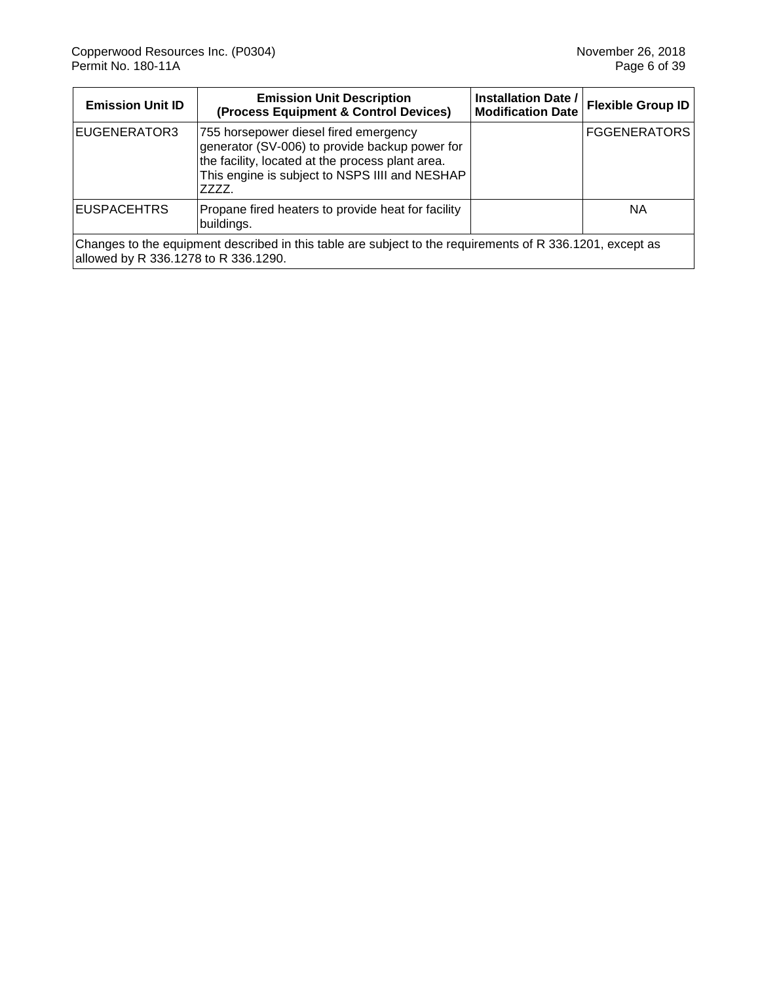| <b>Emission Unit ID</b>              | <b>Emission Unit Description</b><br>(Process Equipment & Control Devices)                                                                                                                              | <b>Installation Date /</b><br><b>Modification Date</b> | <b>Flexible Group ID</b> |
|--------------------------------------|--------------------------------------------------------------------------------------------------------------------------------------------------------------------------------------------------------|--------------------------------------------------------|--------------------------|
| IEUGENERATOR3                        | 755 horsepower diesel fired emergency<br>generator (SV-006) to provide backup power for<br>the facility, located at the process plant area.<br>This engine is subject to NSPS IIII and NESHAP<br>ZZZZ. |                                                        | <b>FGGENERATORS</b>      |
| EUSPACEHTRS                          | Propane fired heaters to provide heat for facility<br>buildings.                                                                                                                                       |                                                        | NА                       |
| allowed by R 336.1278 to R 336.1290. | Changes to the equipment described in this table are subject to the requirements of R 336.1201, except as                                                                                              |                                                        |                          |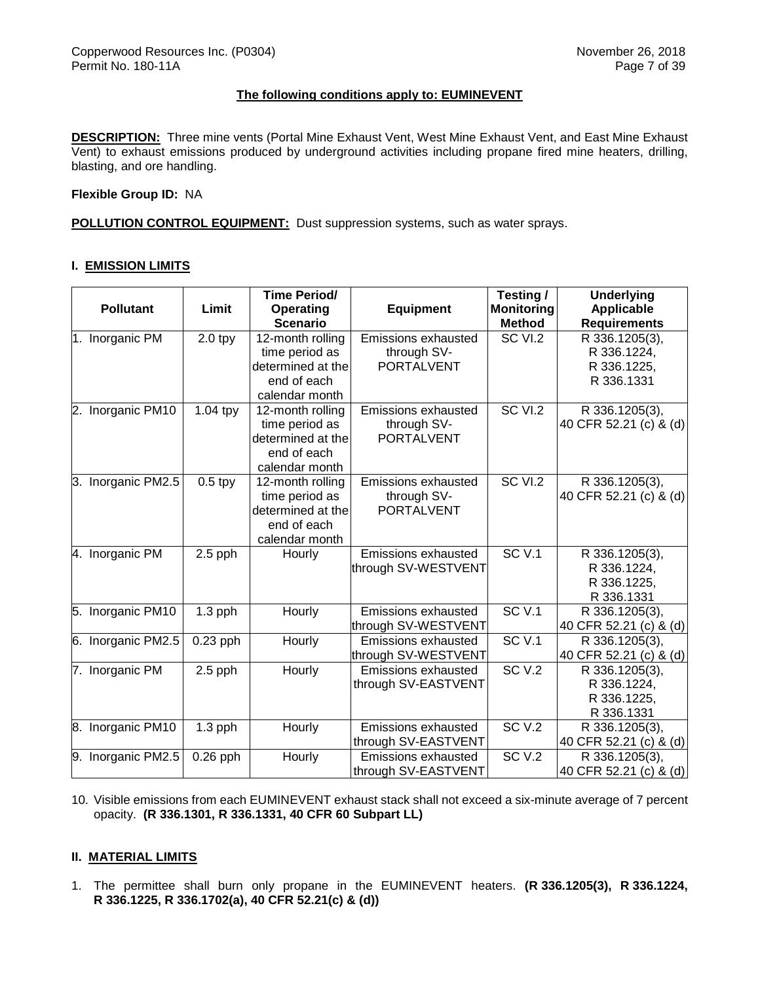### **The following conditions apply to: EUMINEVENT**

**DESCRIPTION:** Three mine vents (Portal Mine Exhaust Vent, West Mine Exhaust Vent, and East Mine Exhaust Vent) to exhaust emissions produced by underground activities including propane fired mine heaters, drilling, blasting, and ore handling.

#### **Flexible Group ID:** NA

**POLLUTION CONTROL EQUIPMENT:** Dust suppression systems, such as water sprays.

### **I. EMISSION LIMITS**

|                    |           | Time Period/      |                            | Testing /         | <b>Underlying</b>           |
|--------------------|-----------|-------------------|----------------------------|-------------------|-----------------------------|
| <b>Pollutant</b>   | Limit     | <b>Operating</b>  | <b>Equipment</b>           | <b>Monitoring</b> | <b>Applicable</b>           |
|                    |           | <b>Scenario</b>   |                            | <b>Method</b>     | <b>Requirements</b>         |
| 1. Inorganic PM    | $2.0$ tpy | 12-month rolling  | Emissions exhausted        | SC VI.2           | $\overline{R}$ 336.1205(3), |
|                    |           | time period as    | through SV-                |                   | R 336.1224,                 |
|                    |           | determined at the | <b>PORTALVENT</b>          |                   | R 336.1225,                 |
|                    |           | end of each       |                            |                   | R 336.1331                  |
|                    |           | calendar month    |                            |                   |                             |
| 2. Inorganic PM10  | 1.04 tpy  | 12-month rolling  | Emissions exhausted        | <b>SC VI.2</b>    | R 336.1205(3),              |
|                    |           | time period as    | through SV-                |                   | 40 CFR 52.21 (c) & (d)      |
|                    |           | determined at the | <b>PORTALVENT</b>          |                   |                             |
|                    |           | end of each       |                            |                   |                             |
|                    |           | calendar month    |                            |                   |                             |
| 3. Inorganic PM2.5 | $0.5$ tpy | 12-month rolling  | Emissions exhausted        | <b>SC VI.2</b>    | R 336.1205(3),              |
|                    |           | time period as    | through SV-                |                   | 40 CFR 52.21 (c) & (d)      |
|                    |           | determined at the | <b>PORTALVENT</b>          |                   |                             |
|                    |           | end of each       |                            |                   |                             |
|                    |           | calendar month    |                            |                   |                             |
| 4. Inorganic PM    | $2.5$ pph | Hourly            | <b>Emissions exhausted</b> | SC <sub>V.1</sub> | R 336.1205(3),              |
|                    |           |                   | through SV-WESTVENT        |                   | R 336.1224,                 |
|                    |           |                   |                            |                   | R 336.1225,                 |
|                    |           |                   |                            |                   | R 336.1331                  |
| 5. Inorganic PM10  | $1.3$ pph | Hourly            | Emissions exhausted        | SC <sub>V.1</sub> | R 336.1205(3),              |
|                    |           |                   | through SV-WESTVENT        |                   | 40 CFR 52.21 (c) & (d)      |
| 6. Inorganic PM2.5 | 0.23 pph  | Hourly            | Emissions exhausted        | <b>SC V.1</b>     | R 336.1205(3),              |
|                    |           |                   | through SV-WESTVENT        |                   | 40 CFR 52.21 (c) & (d)      |
| 7. Inorganic PM    | $2.5$ pph | Hourly            | Emissions exhausted        | SCV.2             | R 336.1205(3),              |
|                    |           |                   | through SV-EASTVENT        |                   | R 336.1224,                 |
|                    |           |                   |                            |                   | R 336.1225,                 |
|                    |           |                   |                            |                   | R 336.1331                  |
| 8. Inorganic PM10  | $1.3$ pph | Hourly            | Emissions exhausted        | <b>SC V.2</b>     | R 336.1205(3),              |
|                    |           |                   | through SV-EASTVENT        |                   | 40 CFR 52.21 (c) & (d)      |
| 9. Inorganic PM2.5 | 0.26 pph  | Hourly            | <b>Emissions exhausted</b> | <b>SC V.2</b>     | R 336.1205(3),              |
|                    |           |                   | through SV-EASTVENT        |                   | 40 CFR 52.21 (c) & (d)      |

10. Visible emissions from each EUMINEVENT exhaust stack shall not exceed a six-minute average of 7 percent opacity. **(R 336.1301, R 336.1331, 40 CFR 60 Subpart LL)**

#### **II. MATERIAL LIMITS**

1. The permittee shall burn only propane in the EUMINEVENT heaters. **(R 336.1205(3), R 336.1224, R 336.1225, R 336.1702(a), 40 CFR 52.21(c) & (d))**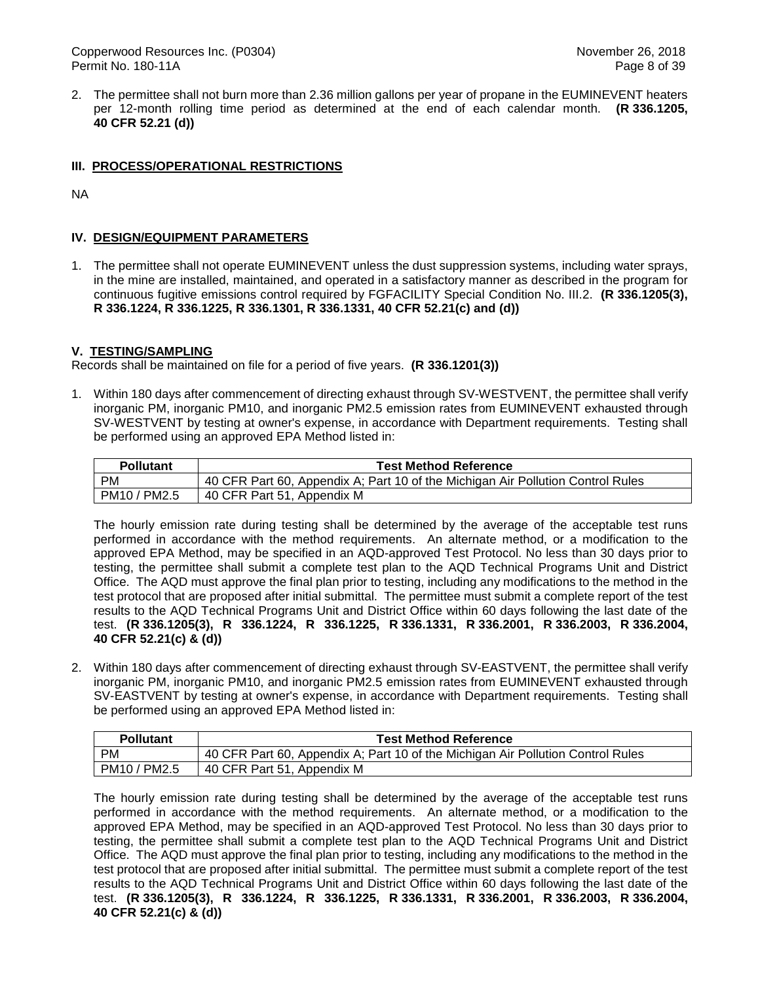Copperwood Resources Inc. (P0304) November 26, 2018 Permit No. 180-11A **Page 8 of 39** 

2. The permittee shall not burn more than 2.36 million gallons per year of propane in the EUMINEVENT heaters per 12-month rolling time period as determined at the end of each calendar month. **(R 336.1205, 40 CFR 52.21 (d))**

### **III. PROCESS/OPERATIONAL RESTRICTIONS**

NA

# **IV. DESIGN/EQUIPMENT PARAMETERS**

1. The permittee shall not operate EUMINEVENT unless the dust suppression systems, including water sprays, in the mine are installed, maintained, and operated in a satisfactory manner as described in the program for continuous fugitive emissions control required by FGFACILITY Special Condition No. III.2. **(R 336.1205(3), R 336.1224, R 336.1225, R 336.1301, R 336.1331, 40 CFR 52.21(c) and (d))**

### **V. TESTING/SAMPLING**

Records shall be maintained on file for a period of five years. **(R 336.1201(3))**

1. Within 180 days after commencement of directing exhaust through SV-WESTVENT, the permittee shall verify inorganic PM, inorganic PM10, and inorganic PM2.5 emission rates from EUMINEVENT exhausted through SV-WESTVENT by testing at owner's expense, in accordance with Department requirements. Testing shall be performed using an approved EPA Method listed in:

| <b>Pollutant</b> | <b>Test Method Reference</b>                                                    |
|------------------|---------------------------------------------------------------------------------|
| <b>PM</b>        | 40 CFR Part 60, Appendix A; Part 10 of the Michigan Air Pollution Control Rules |
| PM10 / PM2.5     | 40 CFR Part 51, Appendix M                                                      |

The hourly emission rate during testing shall be determined by the average of the acceptable test runs performed in accordance with the method requirements. An alternate method, or a modification to the approved EPA Method, may be specified in an AQD-approved Test Protocol. No less than 30 days prior to testing, the permittee shall submit a complete test plan to the AQD Technical Programs Unit and District Office. The AQD must approve the final plan prior to testing, including any modifications to the method in the test protocol that are proposed after initial submittal. The permittee must submit a complete report of the test results to the AQD Technical Programs Unit and District Office within 60 days following the last date of the test. **(R 336.1205(3), R 336.1224, R 336.1225, R 336.1331, R 336.2001, R 336.2003, R 336.2004, 40 CFR 52.21(c) & (d))**

2. Within 180 days after commencement of directing exhaust through SV-EASTVENT, the permittee shall verify inorganic PM, inorganic PM10, and inorganic PM2.5 emission rates from EUMINEVENT exhausted through SV-EASTVENT by testing at owner's expense, in accordance with Department requirements. Testing shall be performed using an approved EPA Method listed in:

| <b>Pollutant</b> | <b>Test Method Reference</b>                                                    |
|------------------|---------------------------------------------------------------------------------|
| PM               | 40 CFR Part 60, Appendix A; Part 10 of the Michigan Air Pollution Control Rules |
| PM10 / PM2.5     | 40 CFR Part 51, Appendix M                                                      |

The hourly emission rate during testing shall be determined by the average of the acceptable test runs performed in accordance with the method requirements. An alternate method, or a modification to the approved EPA Method, may be specified in an AQD-approved Test Protocol. No less than 30 days prior to testing, the permittee shall submit a complete test plan to the AQD Technical Programs Unit and District Office. The AQD must approve the final plan prior to testing, including any modifications to the method in the test protocol that are proposed after initial submittal. The permittee must submit a complete report of the test results to the AQD Technical Programs Unit and District Office within 60 days following the last date of the test. **(R 336.1205(3), R 336.1224, R 336.1225, R 336.1331, R 336.2001, R 336.2003, R 336.2004, 40 CFR 52.21(c) & (d))**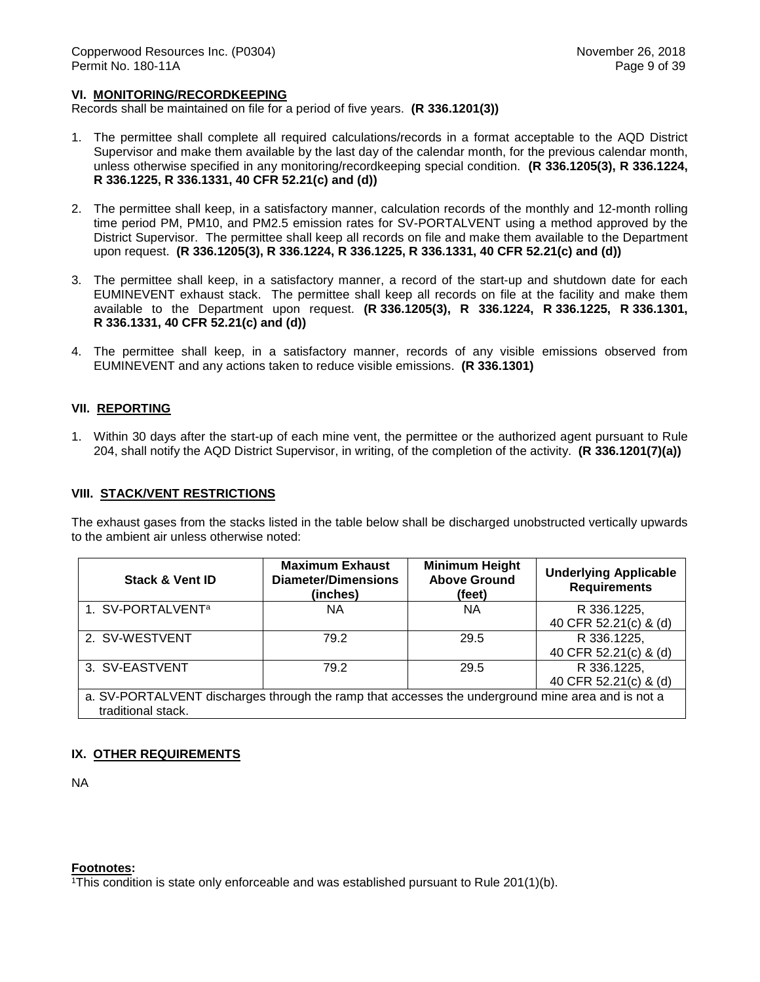### **VI. MONITORING/RECORDKEEPING**

Records shall be maintained on file for a period of five years. **(R 336.1201(3))**

- 1. The permittee shall complete all required calculations/records in a format acceptable to the AQD District Supervisor and make them available by the last day of the calendar month, for the previous calendar month, unless otherwise specified in any monitoring/recordkeeping special condition. **(R 336.1205(3), R 336.1224, R 336.1225, R 336.1331, 40 CFR 52.21(c) and (d))**
- 2. The permittee shall keep, in a satisfactory manner, calculation records of the monthly and 12-month rolling time period PM, PM10, and PM2.5 emission rates for SV-PORTALVENT using a method approved by the District Supervisor. The permittee shall keep all records on file and make them available to the Department upon request. **(R 336.1205(3), R 336.1224, R 336.1225, R 336.1331, 40 CFR 52.21(c) and (d))**
- 3. The permittee shall keep, in a satisfactory manner, a record of the start-up and shutdown date for each EUMINEVENT exhaust stack. The permittee shall keep all records on file at the facility and make them available to the Department upon request. **(R 336.1205(3), R 336.1224, R 336.1225, R 336.1301, R 336.1331, 40 CFR 52.21(c) and (d))**
- 4. The permittee shall keep, in a satisfactory manner, records of any visible emissions observed from EUMINEVENT and any actions taken to reduce visible emissions. **(R 336.1301)**

# **VII. REPORTING**

1. Within 30 days after the start-up of each mine vent, the permittee or the authorized agent pursuant to Rule 204, shall notify the AQD District Supervisor, in writing, of the completion of the activity. **(R 336.1201(7)(a))**

### **VIII. STACK/VENT RESTRICTIONS**

The exhaust gases from the stacks listed in the table below shall be discharged unobstructed vertically upwards to the ambient air unless otherwise noted:

| <b>Stack &amp; Vent ID</b>                                                                        | <b>Maximum Exhaust</b><br><b>Diameter/Dimensions</b><br>(inches) | <b>Minimum Height</b><br><b>Above Ground</b><br>(feet) | <b>Underlying Applicable</b><br><b>Requirements</b> |  |  |
|---------------------------------------------------------------------------------------------------|------------------------------------------------------------------|--------------------------------------------------------|-----------------------------------------------------|--|--|
| 1. SV-PORTALVENT <sup>a</sup>                                                                     | ΝA                                                               | ΝA                                                     | R 336.1225,                                         |  |  |
|                                                                                                   |                                                                  |                                                        | 40 CFR 52.21(c) & (d)                               |  |  |
| 2. SV-WESTVENT                                                                                    | 79.2                                                             | 29.5                                                   | R 336.1225,                                         |  |  |
|                                                                                                   |                                                                  |                                                        | 40 CFR 52.21(c) & (d)                               |  |  |
| 3. SV-EASTVENT                                                                                    | 79.2                                                             | 29.5                                                   | R 336.1225,                                         |  |  |
|                                                                                                   |                                                                  |                                                        | 40 CFR 52.21(c) & (d)                               |  |  |
| a. SV-PORTALVENT discharges through the ramp that accesses the underground mine area and is not a |                                                                  |                                                        |                                                     |  |  |
| traditional stack.                                                                                |                                                                  |                                                        |                                                     |  |  |

### **IX. OTHER REQUIREMENTS**

NA

### **Footnotes:**

 $1$ <sup>1</sup>This condition is state only enforceable and was established pursuant to Rule 201(1)(b).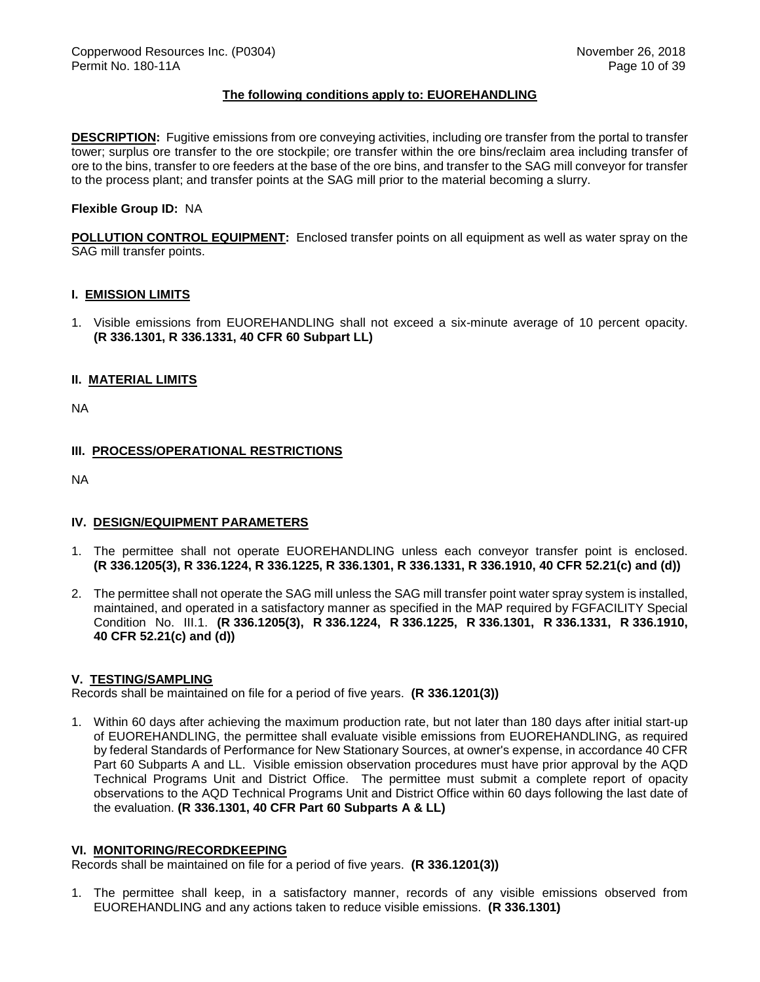#### **The following conditions apply to: EUOREHANDLING**

**DESCRIPTION:** Fugitive emissions from ore conveying activities, including ore transfer from the portal to transfer tower; surplus ore transfer to the ore stockpile; ore transfer within the ore bins/reclaim area including transfer of ore to the bins, transfer to ore feeders at the base of the ore bins, and transfer to the SAG mill conveyor for transfer to the process plant; and transfer points at the SAG mill prior to the material becoming a slurry.

#### **Flexible Group ID:** NA

**POLLUTION CONTROL EQUIPMENT:** Enclosed transfer points on all equipment as well as water spray on the SAG mill transfer points.

#### **I. EMISSION LIMITS**

1. Visible emissions from EUOREHANDLING shall not exceed a six-minute average of 10 percent opacity. **(R 336.1301, R 336.1331, 40 CFR 60 Subpart LL)**

#### **II. MATERIAL LIMITS**

NA

### **III. PROCESS/OPERATIONAL RESTRICTIONS**

NA

### **IV. DESIGN/EQUIPMENT PARAMETERS**

- 1. The permittee shall not operate EUOREHANDLING unless each conveyor transfer point is enclosed. **(R 336.1205(3), R 336.1224, R 336.1225, R 336.1301, R 336.1331, R 336.1910, 40 CFR 52.21(c) and (d))**
- 2. The permittee shall not operate the SAG mill unless the SAG mill transfer point water spray system is installed, maintained, and operated in a satisfactory manner as specified in the MAP required by FGFACILITY Special Condition No. III.1. **(R 336.1205(3), R 336.1224, R 336.1225, R 336.1301, R 336.1331, R 336.1910, 40 CFR 52.21(c) and (d))**

#### **V. TESTING/SAMPLING**

Records shall be maintained on file for a period of five years. **(R 336.1201(3))**

1. Within 60 days after achieving the maximum production rate, but not later than 180 days after initial start-up of EUOREHANDLING, the permittee shall evaluate visible emissions from EUOREHANDLING, as required by federal Standards of Performance for New Stationary Sources, at owner's expense, in accordance 40 CFR Part 60 Subparts A and LL. Visible emission observation procedures must have prior approval by the AQD Technical Programs Unit and District Office. The permittee must submit a complete report of opacity observations to the AQD Technical Programs Unit and District Office within 60 days following the last date of the evaluation. **(R 336.1301, 40 CFR Part 60 Subparts A & LL)**

#### **VI. MONITORING/RECORDKEEPING**

Records shall be maintained on file for a period of five years. **(R 336.1201(3))**

1. The permittee shall keep, in a satisfactory manner, records of any visible emissions observed from EUOREHANDLING and any actions taken to reduce visible emissions. **(R 336.1301)**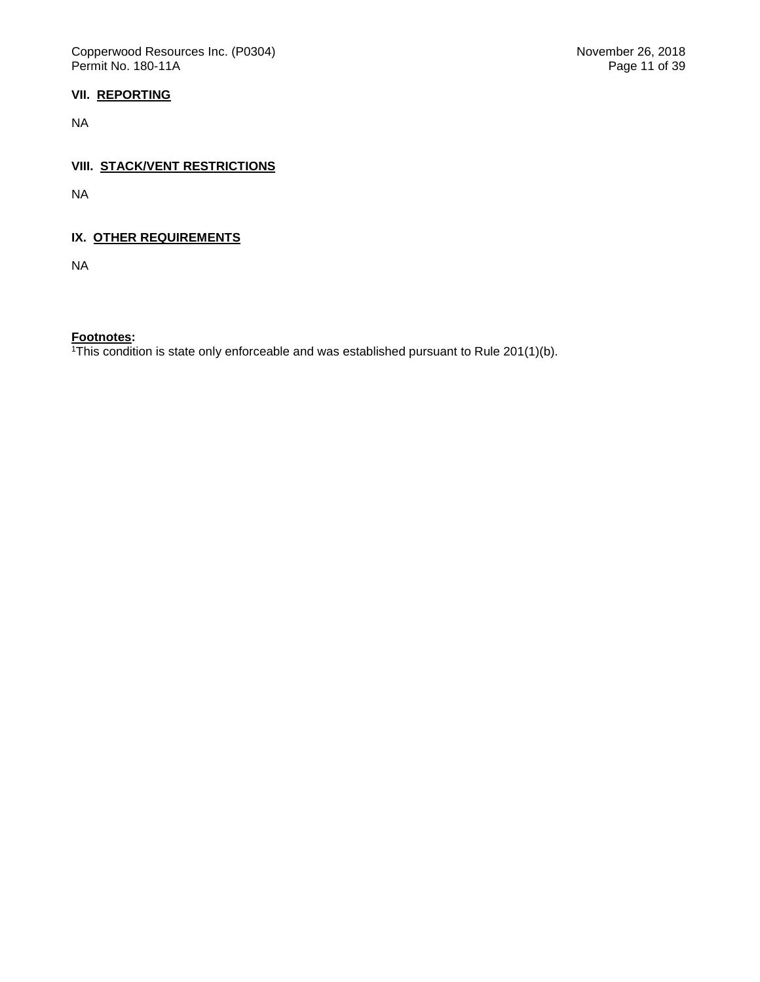Copperwood Resources Inc. (P0304) November 26, 2018 Permit No. 180-11A Page 11 of 39 Page 11 of 39 Page 11 of 39 Page 11 of 39

# **VII. REPORTING**

NA

# **VIII. STACK/VENT RESTRICTIONS**

NA

# **IX. OTHER REQUIREMENTS**

NA

### **Footnotes:**

1This condition is state only enforceable and was established pursuant to Rule 201(1)(b).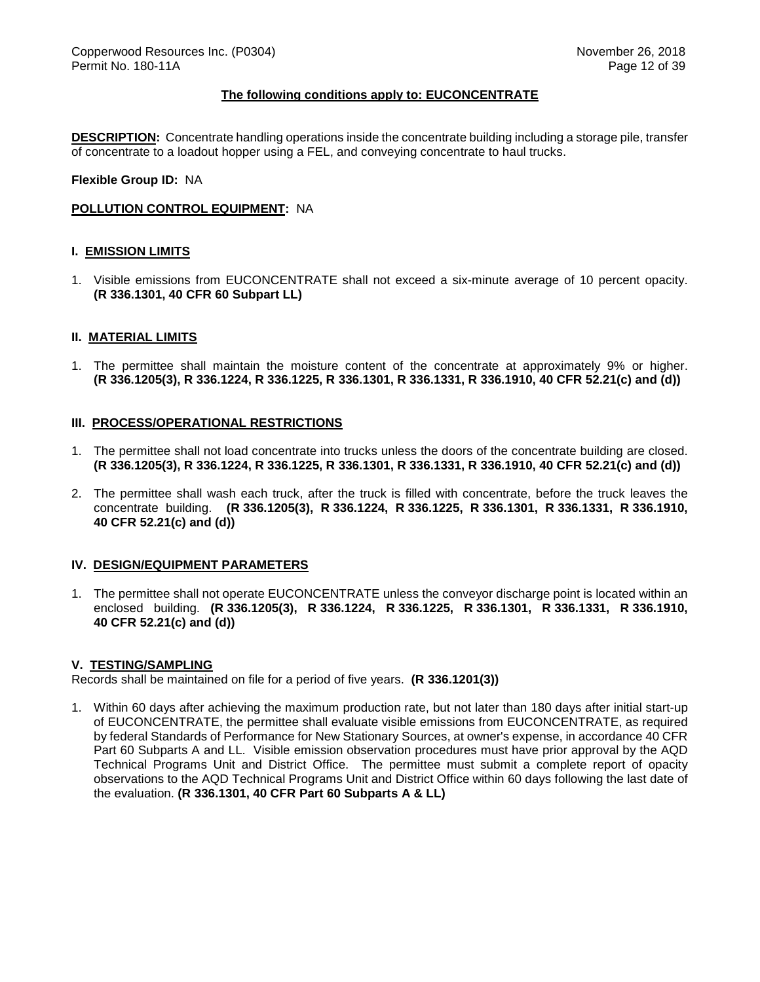# **The following conditions apply to: EUCONCENTRATE**

**DESCRIPTION:** Concentrate handling operations inside the concentrate building including a storage pile, transfer of concentrate to a loadout hopper using a FEL, and conveying concentrate to haul trucks.

#### **Flexible Group ID:** NA

#### **POLLUTION CONTROL EQUIPMENT:** NA

#### **I. EMISSION LIMITS**

1. Visible emissions from EUCONCENTRATE shall not exceed a six-minute average of 10 percent opacity. **(R 336.1301, 40 CFR 60 Subpart LL)**

#### **II. MATERIAL LIMITS**

1. The permittee shall maintain the moisture content of the concentrate at approximately 9% or higher. **(R 336.1205(3), R 336.1224, R 336.1225, R 336.1301, R 336.1331, R 336.1910, 40 CFR 52.21(c) and (d))**

#### **III. PROCESS/OPERATIONAL RESTRICTIONS**

- 1. The permittee shall not load concentrate into trucks unless the doors of the concentrate building are closed. **(R 336.1205(3), R 336.1224, R 336.1225, R 336.1301, R 336.1331, R 336.1910, 40 CFR 52.21(c) and (d))**
- 2. The permittee shall wash each truck, after the truck is filled with concentrate, before the truck leaves the concentrate building. **(R 336.1205(3), R 336.1224, R 336.1225, R 336.1301, R 336.1331, R 336.1910, 40 CFR 52.21(c) and (d))**

### **IV. DESIGN/EQUIPMENT PARAMETERS**

1. The permittee shall not operate EUCONCENTRATE unless the conveyor discharge point is located within an enclosed building. **(R 336.1205(3), R 336.1224, R 336.1225, R 336.1301, R 336.1331, R 336.1910, 40 CFR 52.21(c) and (d))**

#### **V. TESTING/SAMPLING**

Records shall be maintained on file for a period of five years. **(R 336.1201(3))**

1. Within 60 days after achieving the maximum production rate, but not later than 180 days after initial start-up of EUCONCENTRATE, the permittee shall evaluate visible emissions from EUCONCENTRATE, as required by federal Standards of Performance for New Stationary Sources, at owner's expense, in accordance 40 CFR Part 60 Subparts A and LL. Visible emission observation procedures must have prior approval by the AQD Technical Programs Unit and District Office. The permittee must submit a complete report of opacity observations to the AQD Technical Programs Unit and District Office within 60 days following the last date of the evaluation. **(R 336.1301, 40 CFR Part 60 Subparts A & LL)**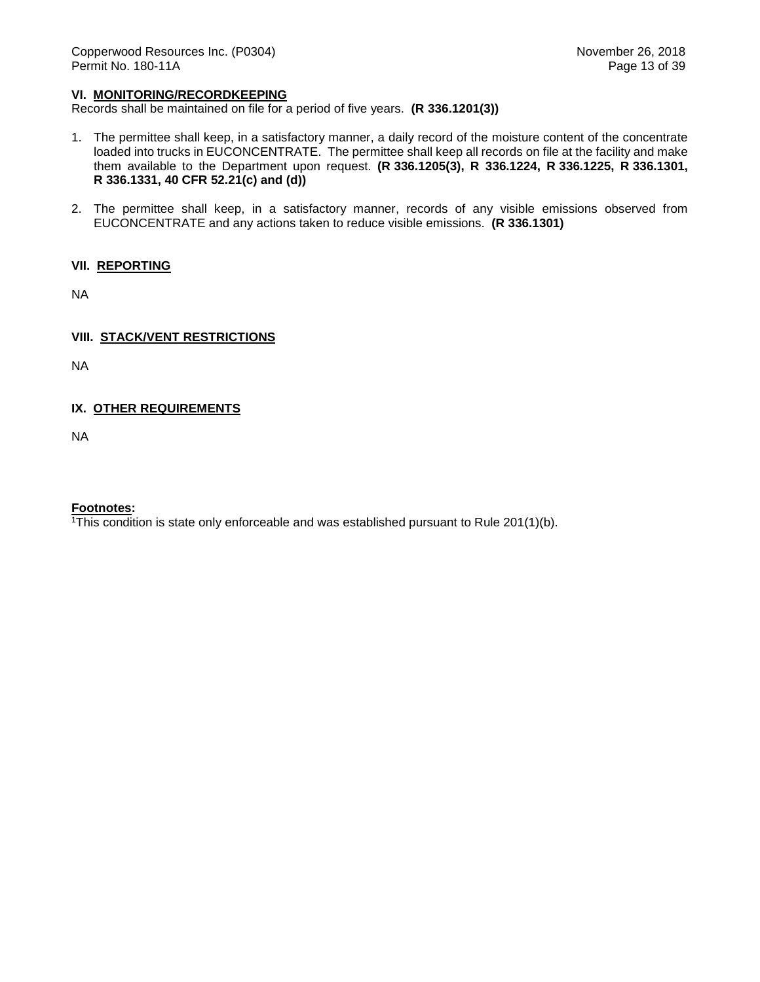### **VI. MONITORING/RECORDKEEPING**

Records shall be maintained on file for a period of five years. **(R 336.1201(3))**

- 1. The permittee shall keep, in a satisfactory manner, a daily record of the moisture content of the concentrate loaded into trucks in EUCONCENTRATE. The permittee shall keep all records on file at the facility and make them available to the Department upon request. **(R 336.1205(3), R 336.1224, R 336.1225, R 336.1301, R 336.1331, 40 CFR 52.21(c) and (d))**
- 2. The permittee shall keep, in a satisfactory manner, records of any visible emissions observed from EUCONCENTRATE and any actions taken to reduce visible emissions. **(R 336.1301)**

# **VII. REPORTING**

NA

# **VIII. STACK/VENT RESTRICTIONS**

NA

# **IX. OTHER REQUIREMENTS**

NA

# **Footnotes:**

 $\overline{1}$ This condition is state only enforceable and was established pursuant to Rule 201(1)(b).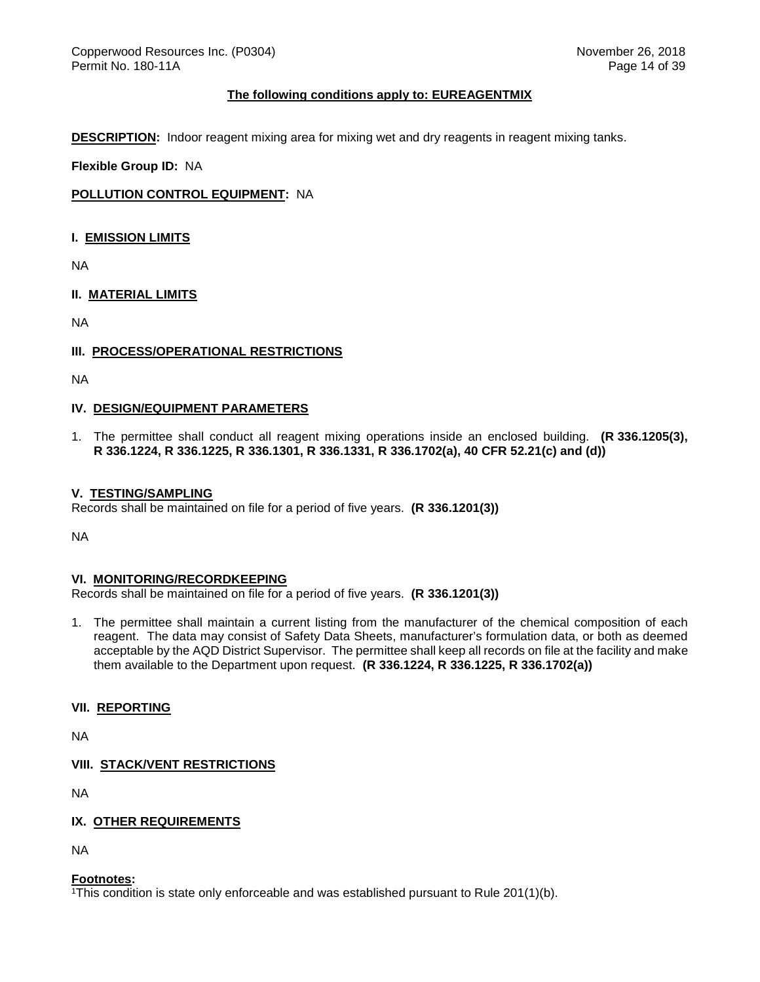#### **The following conditions apply to: EUREAGENTMIX**

**DESCRIPTION:** Indoor reagent mixing area for mixing wet and dry reagents in reagent mixing tanks.

**Flexible Group ID:** NA

**POLLUTION CONTROL EQUIPMENT:** NA

**I. EMISSION LIMITS**

NA

**II. MATERIAL LIMITS**

NA

### **III. PROCESS/OPERATIONAL RESTRICTIONS**

NA

#### **IV. DESIGN/EQUIPMENT PARAMETERS**

1. The permittee shall conduct all reagent mixing operations inside an enclosed building. **(R 336.1205(3), R 336.1224, R 336.1225, R 336.1301, R 336.1331, R 336.1702(a), 40 CFR 52.21(c) and (d))**

#### **V. TESTING/SAMPLING**

Records shall be maintained on file for a period of five years. **(R 336.1201(3))**

NA

#### **VI. MONITORING/RECORDKEEPING**

Records shall be maintained on file for a period of five years. **(R 336.1201(3))**

1. The permittee shall maintain a current listing from the manufacturer of the chemical composition of each reagent. The data may consist of Safety Data Sheets, manufacturer's formulation data, or both as deemed acceptable by the AQD District Supervisor. The permittee shall keep all records on file at the facility and make them available to the Department upon request. **(R 336.1224, R 336.1225, R 336.1702(a))**

#### **VII. REPORTING**

NA

**VIII. STACK/VENT RESTRICTIONS**

NA

### **IX. OTHER REQUIREMENTS**

NA

#### **Footnotes:**

1This condition is state only enforceable and was established pursuant to Rule 201(1)(b).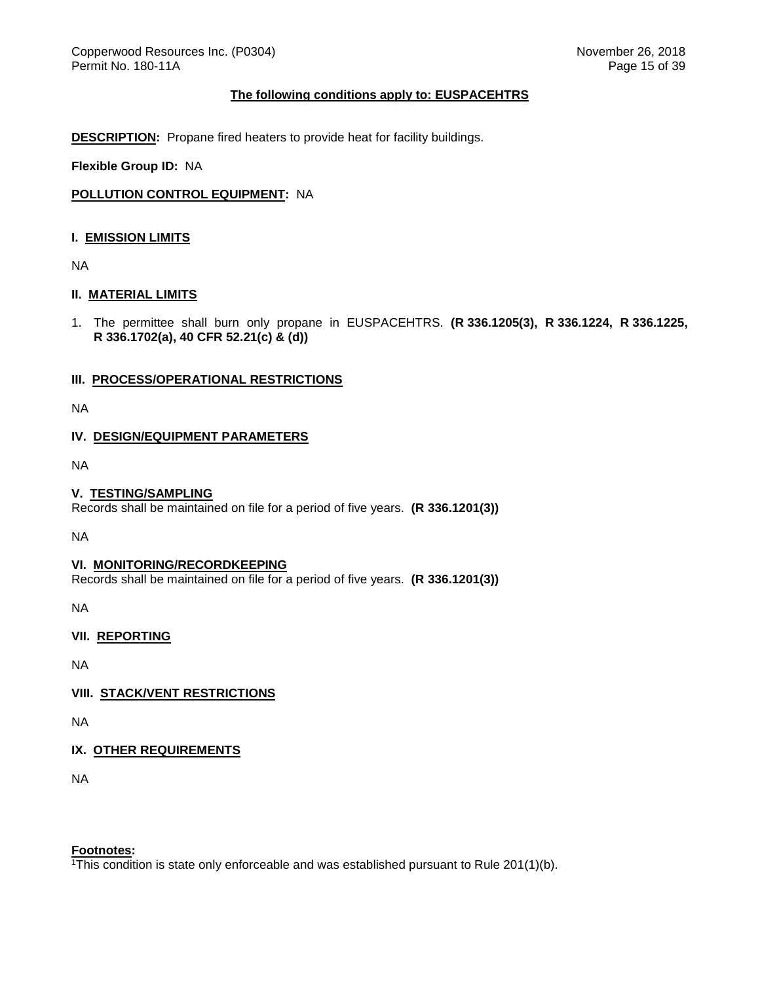#### **The following conditions apply to: EUSPACEHTRS**

**DESCRIPTION:** Propane fired heaters to provide heat for facility buildings.

**Flexible Group ID:** NA

**POLLUTION CONTROL EQUIPMENT:** NA

#### **I. EMISSION LIMITS**

NA

### **II. MATERIAL LIMITS**

1. The permittee shall burn only propane in EUSPACEHTRS. **(R 336.1205(3), R 336.1224, R 336.1225, R 336.1702(a), 40 CFR 52.21(c) & (d))**

# **III. PROCESS/OPERATIONAL RESTRICTIONS**

NA

# **IV. DESIGN/EQUIPMENT PARAMETERS**

NA

### **V. TESTING/SAMPLING**

Records shall be maintained on file for a period of five years. **(R 336.1201(3))**

NA

### **VI. MONITORING/RECORDKEEPING**

Records shall be maintained on file for a period of five years. **(R 336.1201(3))**

NA

**VII. REPORTING**

NA

**VIII. STACK/VENT RESTRICTIONS**

NA

# **IX. OTHER REQUIREMENTS**

NA

### **Footnotes:**

1This condition is state only enforceable and was established pursuant to Rule 201(1)(b).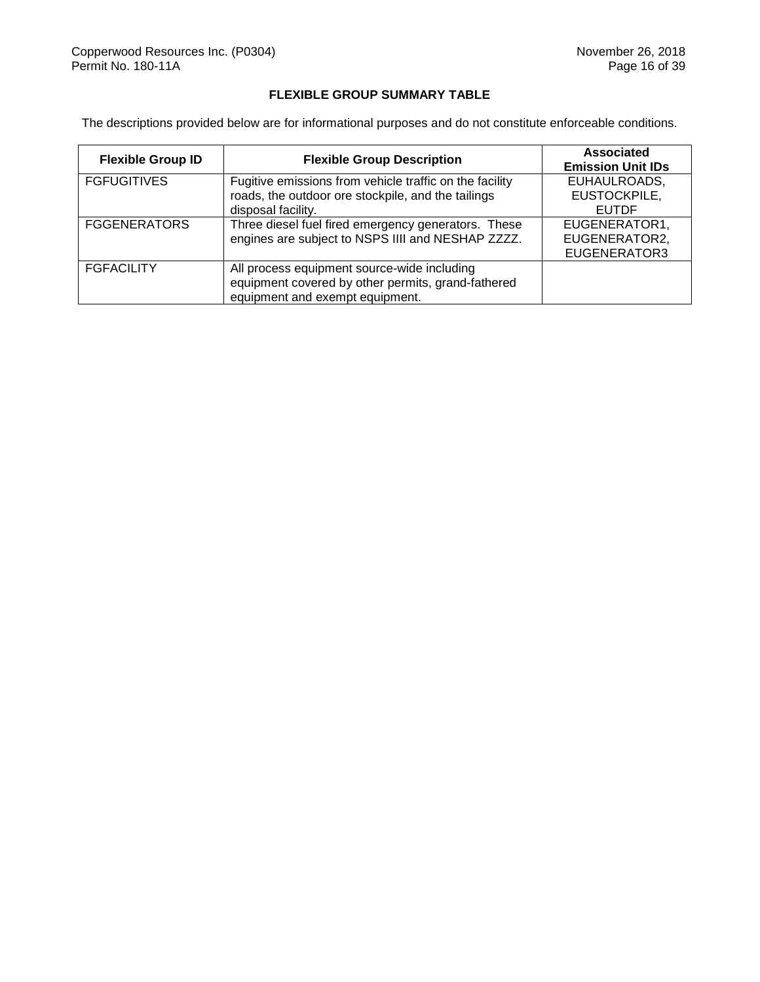# **FLEXIBLE GROUP SUMMARY TABLE**

The descriptions provided below are for informational purposes and do not constitute enforceable conditions.

| <b>Flexible Group ID</b> | <b>Flexible Group Description</b>                                                                                                    | <b>Associated</b><br><b>Emission Unit IDs</b>  |
|--------------------------|--------------------------------------------------------------------------------------------------------------------------------------|------------------------------------------------|
| <b>FGFUGITIVES</b>       | Fugitive emissions from vehicle traffic on the facility<br>roads, the outdoor ore stockpile, and the tailings<br>disposal facility.  | EUHAULROADS,<br>EUSTOCKPILE,<br><b>EUTDF</b>   |
| <b>FGGENERATORS</b>      | Three diesel fuel fired emergency generators. These<br>engines are subject to NSPS IIII and NESHAP ZZZZ.                             | EUGENERATOR1,<br>EUGENERATOR2,<br>EUGENERATOR3 |
| <b>FGFACILITY</b>        | All process equipment source-wide including<br>equipment covered by other permits, grand-fathered<br>equipment and exempt equipment. |                                                |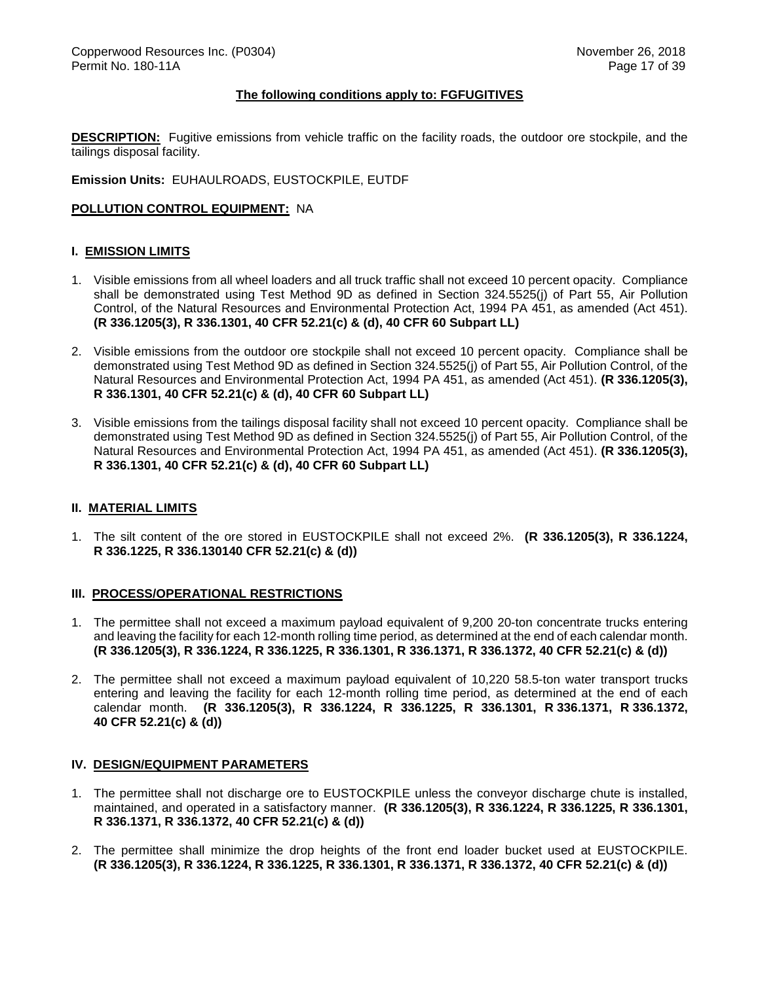#### **The following conditions apply to: FGFUGITIVES**

**DESCRIPTION:** Fugitive emissions from vehicle traffic on the facility roads, the outdoor ore stockpile, and the tailings disposal facility.

**Emission Units:** EUHAULROADS, EUSTOCKPILE, EUTDF

### **POLLUTION CONTROL EQUIPMENT:** NA

#### **I. EMISSION LIMITS**

- 1. Visible emissions from all wheel loaders and all truck traffic shall not exceed 10 percent opacity. Compliance shall be demonstrated using Test Method 9D as defined in Section 324.5525(j) of Part 55, Air Pollution Control, of the Natural Resources and Environmental Protection Act, 1994 PA 451, as amended (Act 451). **(R 336.1205(3), R 336.1301, 40 CFR 52.21(c) & (d), 40 CFR 60 Subpart LL)**
- 2. Visible emissions from the outdoor ore stockpile shall not exceed 10 percent opacity. Compliance shall be demonstrated using Test Method 9D as defined in Section 324.5525(j) of Part 55, Air Pollution Control, of the Natural Resources and Environmental Protection Act, 1994 PA 451, as amended (Act 451). **(R 336.1205(3), R 336.1301, 40 CFR 52.21(c) & (d), 40 CFR 60 Subpart LL)**
- 3. Visible emissions from the tailings disposal facility shall not exceed 10 percent opacity. Compliance shall be demonstrated using Test Method 9D as defined in Section 324.5525(j) of Part 55, Air Pollution Control, of the Natural Resources and Environmental Protection Act, 1994 PA 451, as amended (Act 451). **(R 336.1205(3), R 336.1301, 40 CFR 52.21(c) & (d), 40 CFR 60 Subpart LL)**

### **II. MATERIAL LIMITS**

1. The silt content of the ore stored in EUSTOCKPILE shall not exceed 2%. **(R 336.1205(3), R 336.1224, R 336.1225, R 336.130140 CFR 52.21(c) & (d))**

### **III. PROCESS/OPERATIONAL RESTRICTIONS**

- 1. The permittee shall not exceed a maximum payload equivalent of 9,200 20-ton concentrate trucks entering and leaving the facility for each 12-month rolling time period, as determined at the end of each calendar month. **(R 336.1205(3), R 336.1224, R 336.1225, R 336.1301, R 336.1371, R 336.1372, 40 CFR 52.21(c) & (d))**
- 2. The permittee shall not exceed a maximum payload equivalent of 10,220 58.5-ton water transport trucks entering and leaving the facility for each 12-month rolling time period, as determined at the end of each calendar month. **(R 336.1205(3), R 336.1224, R 336.1225, R 336.1301, R 336.1371, R 336.1372, 40 CFR 52.21(c) & (d))**

#### **IV. DESIGN/EQUIPMENT PARAMETERS**

- 1. The permittee shall not discharge ore to EUSTOCKPILE unless the conveyor discharge chute is installed, maintained, and operated in a satisfactory manner. **(R 336.1205(3), R 336.1224, R 336.1225, R 336.1301, R 336.1371, R 336.1372, 40 CFR 52.21(c) & (d))**
- 2. The permittee shall minimize the drop heights of the front end loader bucket used at EUSTOCKPILE. **(R 336.1205(3), R 336.1224, R 336.1225, R 336.1301, R 336.1371, R 336.1372, 40 CFR 52.21(c) & (d))**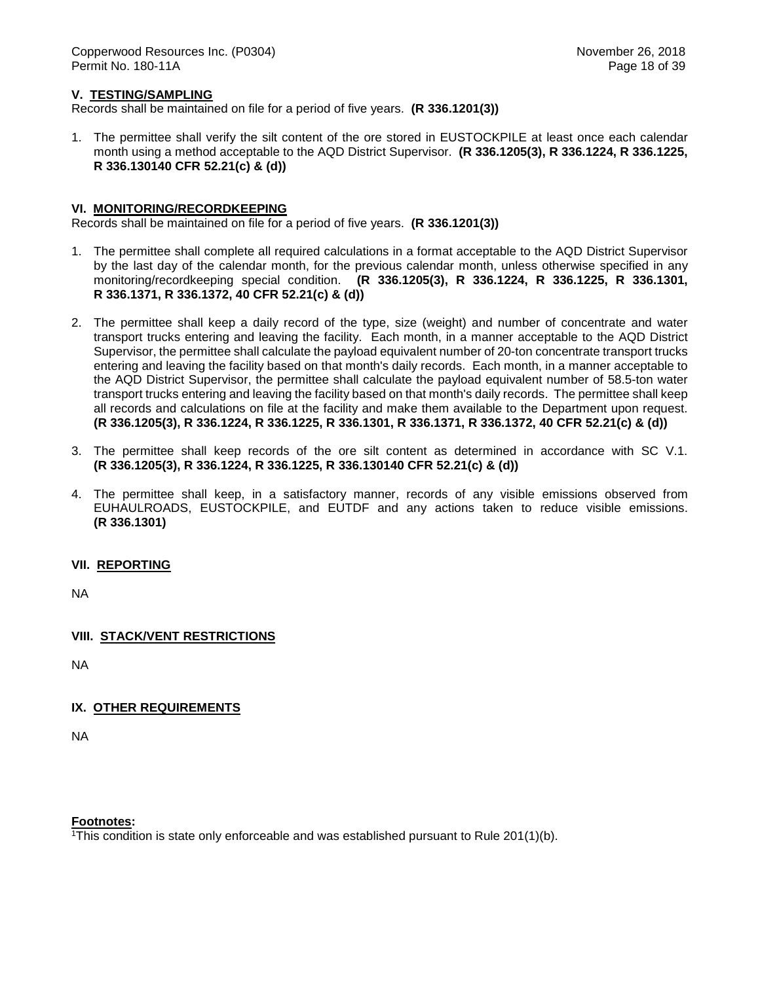### **V. TESTING/SAMPLING**

Records shall be maintained on file for a period of five years. **(R 336.1201(3))**

1. The permittee shall verify the silt content of the ore stored in EUSTOCKPILE at least once each calendar month using a method acceptable to the AQD District Supervisor. **(R 336.1205(3), R 336.1224, R 336.1225, R 336.130140 CFR 52.21(c) & (d))**

### **VI. MONITORING/RECORDKEEPING**

Records shall be maintained on file for a period of five years. **(R 336.1201(3))**

- 1. The permittee shall complete all required calculations in a format acceptable to the AQD District Supervisor by the last day of the calendar month, for the previous calendar month, unless otherwise specified in any monitoring/recordkeeping special condition. **(R 336.1205(3), R 336.1224, R 336.1225, R 336.1301, R 336.1371, R 336.1372, 40 CFR 52.21(c) & (d))**
- 2. The permittee shall keep a daily record of the type, size (weight) and number of concentrate and water transport trucks entering and leaving the facility. Each month, in a manner acceptable to the AQD District Supervisor, the permittee shall calculate the payload equivalent number of 20-ton concentrate transport trucks entering and leaving the facility based on that month's daily records. Each month, in a manner acceptable to the AQD District Supervisor, the permittee shall calculate the payload equivalent number of 58.5-ton water transport trucks entering and leaving the facility based on that month's daily records. The permittee shall keep all records and calculations on file at the facility and make them available to the Department upon request. **(R 336.1205(3), R 336.1224, R 336.1225, R 336.1301, R 336.1371, R 336.1372, 40 CFR 52.21(c) & (d))**
- 3. The permittee shall keep records of the ore silt content as determined in accordance with SC V.1. **(R 336.1205(3), R 336.1224, R 336.1225, R 336.130140 CFR 52.21(c) & (d))**
- 4. The permittee shall keep, in a satisfactory manner, records of any visible emissions observed from EUHAULROADS, EUSTOCKPILE, and EUTDF and any actions taken to reduce visible emissions. **(R 336.1301)**

#### **VII. REPORTING**

NA

**VIII. STACK/VENT RESTRICTIONS**

NA

### **IX. OTHER REQUIREMENTS**

NA

#### **Footnotes:**

1This condition is state only enforceable and was established pursuant to Rule 201(1)(b).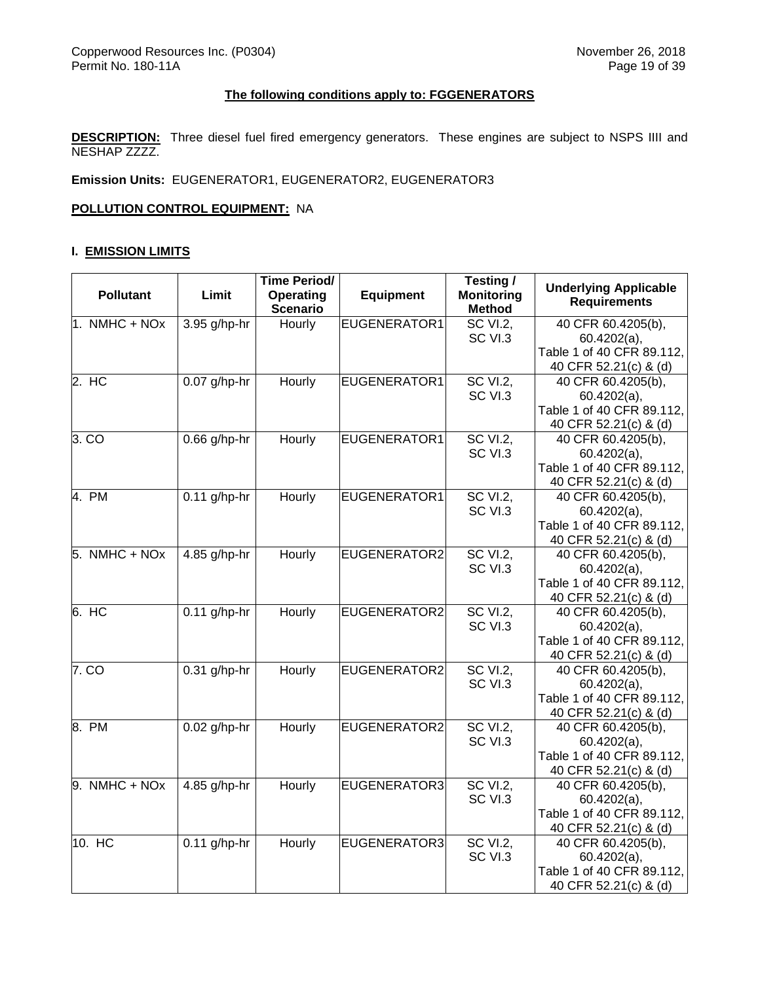# **The following conditions apply to: FGGENERATORS**

**DESCRIPTION:** Three diesel fuel fired emergency generators. These engines are subject to NSPS IIII and NESHAP ZZZZ.

**Emission Units:** EUGENERATOR1, EUGENERATOR2, EUGENERATOR3

# **POLLUTION CONTROL EQUIPMENT:** NA

# **I. EMISSION LIMITS**

| <b>Pollutant</b> | Limit          | <b>Time Period/</b><br>Operating | <b>Equipment</b> | Testing /<br><b>Monitoring</b> | <b>Underlying Applicable</b>                |
|------------------|----------------|----------------------------------|------------------|--------------------------------|---------------------------------------------|
|                  |                | <b>Scenario</b>                  |                  | <b>Method</b>                  | <b>Requirements</b>                         |
| 1. NMHC + $NOx$  | 3.95 g/hp-hr   | Hourly                           | EUGENERATOR1     | SC VI.2,                       | 40 CFR 60.4205(b),                          |
|                  |                |                                  |                  | SC VI.3                        | $60.4202(a)$ ,                              |
|                  |                |                                  |                  |                                | Table 1 of 40 CFR 89.112,                   |
|                  |                |                                  |                  |                                | 40 CFR 52.21(c) & (d)                       |
| 2. HC            | $0.07$ g/hp-hr | Hourly                           | EUGENERATOR1     | SC VI.2,                       | 40 CFR 60.4205(b),                          |
|                  |                |                                  |                  | SC VI.3                        | $60.4202(a)$ ,                              |
|                  |                |                                  |                  |                                | Table 1 of 40 CFR 89.112,                   |
|                  |                |                                  |                  |                                | 40 CFR 52.21(c) & (d)                       |
| 3. CO            | $0.66$ g/hp-hr | Hourly                           | EUGENERATOR1     | <b>SC VI.2,</b>                | 40 CFR 60.4205(b),                          |
|                  |                |                                  |                  | SC VI.3                        | $60.4202(a)$ ,                              |
|                  |                |                                  |                  |                                | Table 1 of 40 CFR 89.112,                   |
|                  |                |                                  |                  |                                | 40 CFR 52.21(c) & (d)                       |
| 4. PM            | $0.11$ g/hp-hr | Hourly                           | EUGENERATOR1     | SC VI.2,                       | 40 CFR 60.4205(b),                          |
|                  |                |                                  |                  | SC VI.3                        | $60.4202(a)$ ,                              |
|                  |                |                                  |                  |                                | Table 1 of 40 CFR 89.112,                   |
|                  |                |                                  |                  |                                | 40 CFR 52.21(c) & (d)                       |
| $5. NMHC + NOx$  | 4.85 g/hp-hr   | Hourly                           | EUGENERATOR2     | <b>SC VI.2,</b>                | 40 CFR 60.4205(b),                          |
|                  |                |                                  |                  | SC VI.3                        | $60.4202(a)$ ,                              |
|                  |                |                                  |                  |                                | Table 1 of 40 CFR 89.112,                   |
|                  |                |                                  |                  |                                | 40 CFR 52.21(c) & (d)                       |
| 6. HC            | $0.11$ g/hp-hr | Hourly                           | EUGENERATOR2     | <b>SC VI.2,</b>                | 40 CFR 60.4205(b),                          |
|                  |                |                                  |                  | SC VI.3                        | $60.4202(a)$ ,                              |
|                  |                |                                  |                  |                                | Table 1 of 40 CFR 89.112,                   |
| 7. CO            | $0.31$ g/hp-hr | Hourly                           | EUGENERATOR2     | <b>SC VI.2,</b>                | 40 CFR 52.21(c) & (d)<br>40 CFR 60.4205(b), |
|                  |                |                                  |                  | SC VI.3                        | $60.4202(a)$ ,                              |
|                  |                |                                  |                  |                                | Table 1 of 40 CFR 89.112,                   |
|                  |                |                                  |                  |                                | 40 CFR 52.21(c) & (d)                       |
| 8. PM            | $0.02$ g/hp-hr | Hourly                           | EUGENERATOR2     | <b>SC VI.2,</b>                | 40 CFR 60.4205(b),                          |
|                  |                |                                  |                  | SC VI.3                        | $60.4202(a)$ ,                              |
|                  |                |                                  |                  |                                | Table 1 of 40 CFR 89.112,                   |
|                  |                |                                  |                  |                                | 40 CFR 52.21(c) & (d)                       |
| 9. NMHC + NOx    | 4.85 g/hp-hr   | Hourly                           | EUGENERATOR3     | <b>SC VI.2,</b>                | 40 CFR 60.4205(b),                          |
|                  |                |                                  |                  | SC VI.3                        | $60.4202(a)$ ,                              |
|                  |                |                                  |                  |                                | Table 1 of 40 CFR 89.112,                   |
|                  |                |                                  |                  |                                | 40 CFR 52.21(c) & (d)                       |
| 10. HC           | $0.11$ g/hp-hr | Hourly                           | EUGENERATOR3     | <b>SC VI.2,</b>                | 40 CFR 60.4205(b),                          |
|                  |                |                                  |                  | SC VI.3                        | 60.4202(a),                                 |
|                  |                |                                  |                  |                                | Table 1 of 40 CFR 89.112,                   |
|                  |                |                                  |                  |                                | 40 CFR 52.21(c) & (d)                       |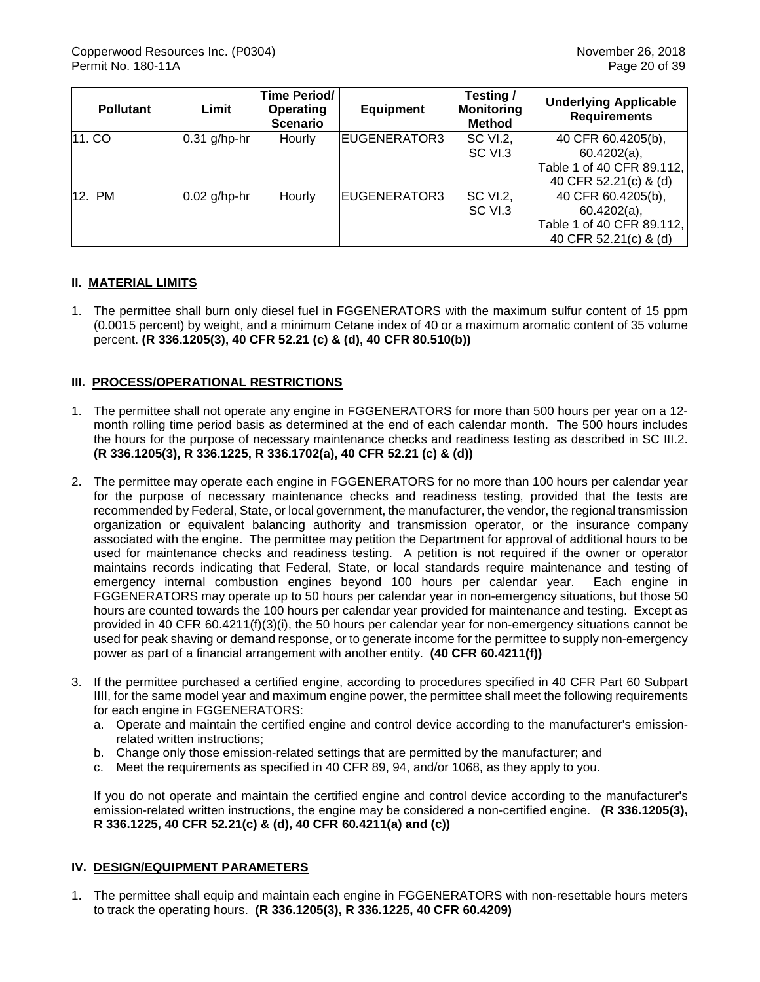| <b>Pollutant</b> | Limit          | <b>Time Period/</b><br>Operating<br><b>Scenario</b> | <b>Equipment</b> | Testing/<br><b>Monitoring</b><br><b>Method</b> | <b>Underlying Applicable</b><br><b>Requirements</b>                                        |
|------------------|----------------|-----------------------------------------------------|------------------|------------------------------------------------|--------------------------------------------------------------------------------------------|
| 11.CO            | $0.31$ g/hp-hr | Hourly                                              | EUGENERATOR3     | SC VI.2,<br>SC VI.3                            | 40 CFR 60.4205(b),<br>$60.4202(a)$ ,<br>Table 1 of 40 CFR 89.112,<br>40 CFR 52.21(c) & (d) |
| 12. PM           | $0.02$ g/hp-hr | Hourly                                              | EUGENERATOR3     | SC VI.2,<br>SC VI.3                            | 40 CFR 60.4205(b),<br>$60.4202(a)$ ,<br>Table 1 of 40 CFR 89.112,<br>40 CFR 52.21(c) & (d) |

# **II. MATERIAL LIMITS**

1. The permittee shall burn only diesel fuel in FGGENERATORS with the maximum sulfur content of 15 ppm (0.0015 percent) by weight, and a minimum Cetane index of 40 or a maximum aromatic content of 35 volume percent. **(R 336.1205(3), 40 CFR 52.21 (c) & (d), 40 CFR 80.510(b))**

# **III. PROCESS/OPERATIONAL RESTRICTIONS**

- 1. The permittee shall not operate any engine in FGGENERATORS for more than 500 hours per year on a 12 month rolling time period basis as determined at the end of each calendar month. The 500 hours includes the hours for the purpose of necessary maintenance checks and readiness testing as described in SC III.2. **(R 336.1205(3), R 336.1225, R 336.1702(a), 40 CFR 52.21 (c) & (d))**
- 2. The permittee may operate each engine in FGGENERATORS for no more than 100 hours per calendar year for the purpose of necessary maintenance checks and readiness testing, provided that the tests are recommended by Federal, State, or local government, the manufacturer, the vendor, the regional transmission organization or equivalent balancing authority and transmission operator, or the insurance company associated with the engine. The permittee may petition the Department for approval of additional hours to be used for maintenance checks and readiness testing. A petition is not required if the owner or operator maintains records indicating that Federal, State, or local standards require maintenance and testing of emergency internal combustion engines beyond 100 hours per calendar year. Each engine in FGGENERATORS may operate up to 50 hours per calendar year in non-emergency situations, but those 50 hours are counted towards the 100 hours per calendar year provided for maintenance and testing. Except as provided in 40 CFR 60.4211(f)(3)(i), the 50 hours per calendar year for non-emergency situations cannot be used for peak shaving or demand response, or to generate income for the permittee to supply non-emergency power as part of a financial arrangement with another entity. **(40 CFR 60.4211(f))**
- 3. If the permittee purchased a certified engine, according to procedures specified in 40 CFR Part 60 Subpart IIII, for the same model year and maximum engine power, the permittee shall meet the following requirements for each engine in FGGENERATORS:
	- a. Operate and maintain the certified engine and control device according to the manufacturer's emissionrelated written instructions;
	- b. Change only those emission-related settings that are permitted by the manufacturer; and
	- c. Meet the requirements as specified in 40 CFR 89, 94, and/or 1068, as they apply to you.

If you do not operate and maintain the certified engine and control device according to the manufacturer's emission-related written instructions, the engine may be considered a non-certified engine. **(R 336.1205(3), R 336.1225, 40 CFR 52.21(c) & (d), 40 CFR 60.4211(a) and (c))**

# **IV. DESIGN/EQUIPMENT PARAMETERS**

1. The permittee shall equip and maintain each engine in FGGENERATORS with non-resettable hours meters to track the operating hours. **(R 336.1205(3), R 336.1225, 40 CFR 60.4209)**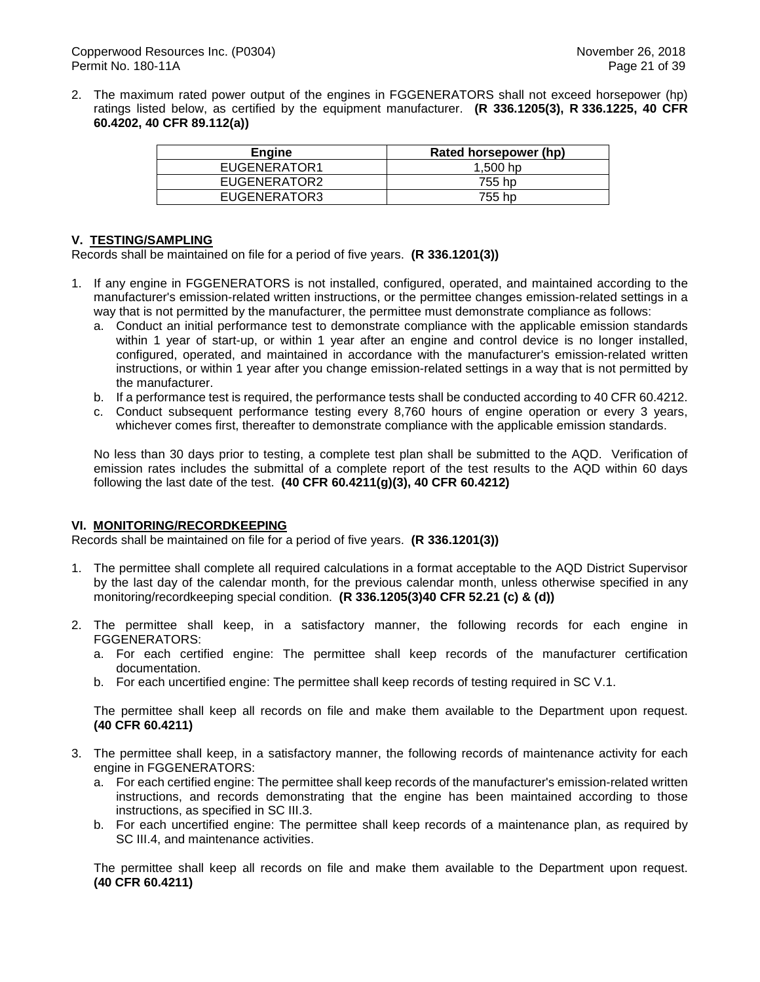2. The maximum rated power output of the engines in FGGENERATORS shall not exceed horsepower (hp) ratings listed below, as certified by the equipment manufacturer. **(R 336.1205(3), R 336.1225, 40 CFR 60.4202, 40 CFR 89.112(a))**

| <b>Engine</b> | Rated horsepower (hp) |
|---------------|-----------------------|
| EUGENERATOR1  | 1.500 hp              |
| EUGENERATOR2  | 755 hp                |
| EUGENERATOR3  | 755 hp                |

#### **V. TESTING/SAMPLING**

Records shall be maintained on file for a period of five years. **(R 336.1201(3))**

- 1. If any engine in FGGENERATORS is not installed, configured, operated, and maintained according to the manufacturer's emission-related written instructions, or the permittee changes emission-related settings in a way that is not permitted by the manufacturer, the permittee must demonstrate compliance as follows:
	- a. Conduct an initial performance test to demonstrate compliance with the applicable emission standards within 1 year of start-up, or within 1 year after an engine and control device is no longer installed, configured, operated, and maintained in accordance with the manufacturer's emission-related written instructions, or within 1 year after you change emission-related settings in a way that is not permitted by the manufacturer.
	- b. If a performance test is required, the performance tests shall be conducted according to 40 CFR 60.4212.
	- c. Conduct subsequent performance testing every 8,760 hours of engine operation or every 3 years, whichever comes first, thereafter to demonstrate compliance with the applicable emission standards.

No less than 30 days prior to testing, a complete test plan shall be submitted to the AQD. Verification of emission rates includes the submittal of a complete report of the test results to the AQD within 60 days following the last date of the test. **(40 CFR 60.4211(g)(3), 40 CFR 60.4212)**

### **VI. MONITORING/RECORDKEEPING**

Records shall be maintained on file for a period of five years. **(R 336.1201(3))**

- 1. The permittee shall complete all required calculations in a format acceptable to the AQD District Supervisor by the last day of the calendar month, for the previous calendar month, unless otherwise specified in any monitoring/recordkeeping special condition. **(R 336.1205(3)40 CFR 52.21 (c) & (d))**
- 2. The permittee shall keep, in a satisfactory manner, the following records for each engine in FGGENERATORS:
	- a. For each certified engine: The permittee shall keep records of the manufacturer certification documentation.
	- b. For each uncertified engine: The permittee shall keep records of testing required in SC V.1.

The permittee shall keep all records on file and make them available to the Department upon request. **(40 CFR 60.4211)**

- 3. The permittee shall keep, in a satisfactory manner, the following records of maintenance activity for each engine in FGGENERATORS:
	- a. For each certified engine: The permittee shall keep records of the manufacturer's emission-related written instructions, and records demonstrating that the engine has been maintained according to those instructions, as specified in SC III.3.
	- b. For each uncertified engine: The permittee shall keep records of a maintenance plan, as required by SC III.4, and maintenance activities.

The permittee shall keep all records on file and make them available to the Department upon request. **(40 CFR 60.4211)**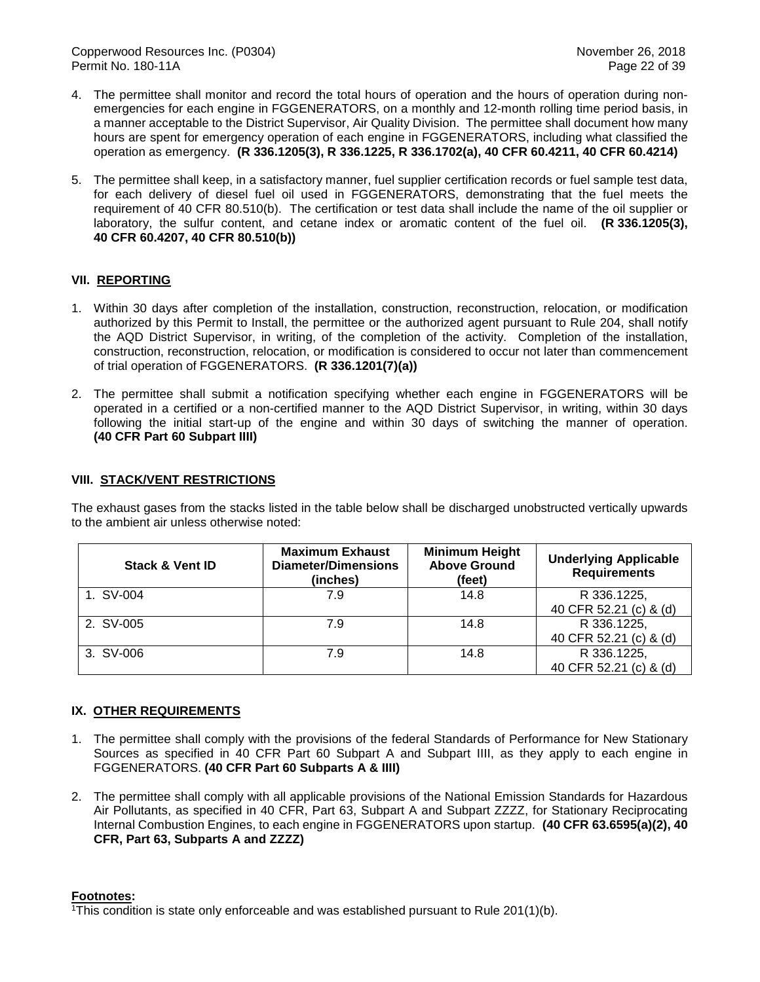Copperwood Resources Inc. (P0304) November 26, 2018 Permit No. 180-11A Page 22 of 39

- 4. The permittee shall monitor and record the total hours of operation and the hours of operation during nonemergencies for each engine in FGGENERATORS, on a monthly and 12-month rolling time period basis, in a manner acceptable to the District Supervisor, Air Quality Division. The permittee shall document how many hours are spent for emergency operation of each engine in FGGENERATORS, including what classified the operation as emergency. **(R 336.1205(3), R 336.1225, R 336.1702(a), 40 CFR 60.4211, 40 CFR 60.4214)**
- 5. The permittee shall keep, in a satisfactory manner, fuel supplier certification records or fuel sample test data, for each delivery of diesel fuel oil used in FGGENERATORS, demonstrating that the fuel meets the requirement of 40 CFR 80.510(b). The certification or test data shall include the name of the oil supplier or laboratory, the sulfur content, and cetane index or aromatic content of the fuel oil. **(R 336.1205(3), 40 CFR 60.4207, 40 CFR 80.510(b))**

# **VII. REPORTING**

- 1. Within 30 days after completion of the installation, construction, reconstruction, relocation, or modification authorized by this Permit to Install, the permittee or the authorized agent pursuant to Rule 204, shall notify the AQD District Supervisor, in writing, of the completion of the activity. Completion of the installation, construction, reconstruction, relocation, or modification is considered to occur not later than commencement of trial operation of FGGENERATORS. **(R 336.1201(7)(a))**
- 2. The permittee shall submit a notification specifying whether each engine in FGGENERATORS will be operated in a certified or a non-certified manner to the AQD District Supervisor, in writing, within 30 days following the initial start-up of the engine and within 30 days of switching the manner of operation. **(40 CFR Part 60 Subpart IIII)**

### **VIII. STACK/VENT RESTRICTIONS**

The exhaust gases from the stacks listed in the table below shall be discharged unobstructed vertically upwards to the ambient air unless otherwise noted:

| <b>Stack &amp; Vent ID</b> | <b>Maximum Exhaust</b><br><b>Diameter/Dimensions</b><br>(inches) | <b>Minimum Height</b><br><b>Above Ground</b><br>(feet) | <b>Underlying Applicable</b><br><b>Requirements</b> |
|----------------------------|------------------------------------------------------------------|--------------------------------------------------------|-----------------------------------------------------|
| 1. SV-004                  | 7.9                                                              | 14.8                                                   | R 336.1225,                                         |
|                            |                                                                  |                                                        | 40 CFR 52.21 (c) & (d)                              |
| 2. SV-005                  | 7.9                                                              | 14.8                                                   | R 336.1225,                                         |
|                            |                                                                  |                                                        | 40 CFR 52.21 (c) & (d)                              |
| 3. SV-006                  | 7.9                                                              | 14.8                                                   | R 336.1225,                                         |
|                            |                                                                  |                                                        | 40 CFR 52.21 (c) & (d)                              |

### **IX. OTHER REQUIREMENTS**

- 1. The permittee shall comply with the provisions of the federal Standards of Performance for New Stationary Sources as specified in 40 CFR Part 60 Subpart A and Subpart IIII, as they apply to each engine in FGGENERATORS. **(40 CFR Part 60 Subparts A & IIII)**
- 2. The permittee shall comply with all applicable provisions of the National Emission Standards for Hazardous Air Pollutants, as specified in 40 CFR, Part 63, Subpart A and Subpart ZZZZ, for Stationary Reciprocating Internal Combustion Engines, to each engine in FGGENERATORS upon startup. **(40 CFR 63.6595(a)(2), 40 CFR, Part 63, Subparts A and ZZZZ)**

#### **Footnotes:**

1This condition is state only enforceable and was established pursuant to Rule 201(1)(b).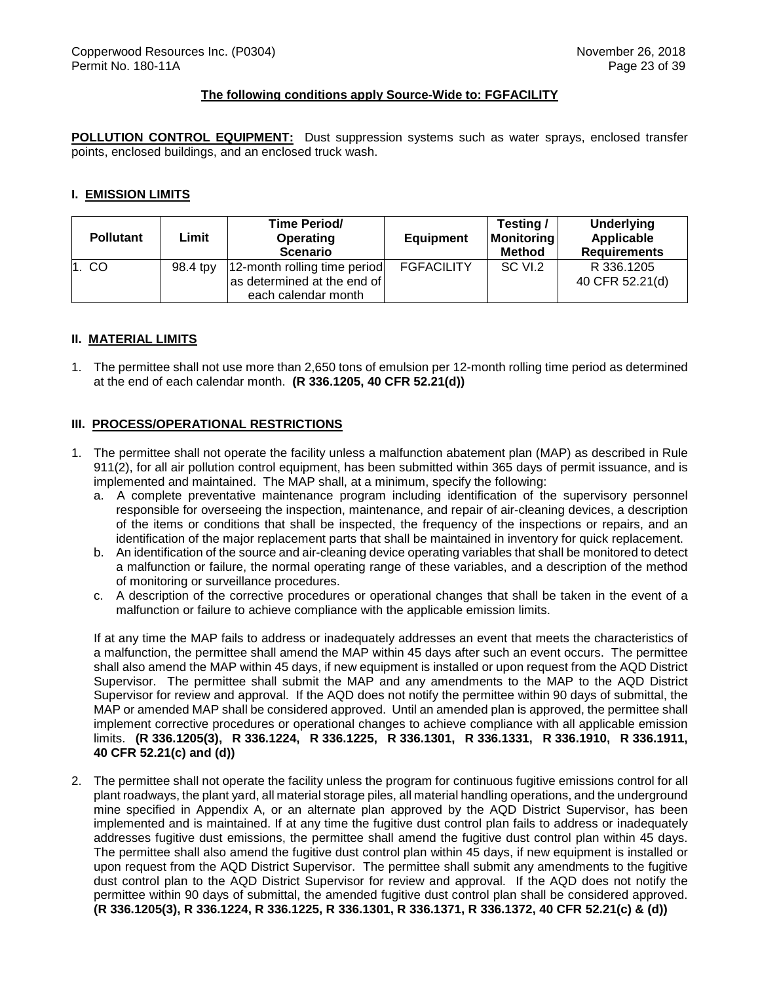#### **The following conditions apply Source-Wide to: FGFACILITY**

**POLLUTION CONTROL EQUIPMENT:** Dust suppression systems such as water sprays, enclosed transfer points, enclosed buildings, and an enclosed truck wash.

#### **I. EMISSION LIMITS**

| <b>Pollutant</b> | Limit    | Time Period/<br>Operating<br><b>Scenario</b>                                       | <b>Equipment</b>  | Testing /<br>Monitoring<br><b>Method</b> | <b>Underlying</b><br>Applicable<br><b>Requirements</b> |
|------------------|----------|------------------------------------------------------------------------------------|-------------------|------------------------------------------|--------------------------------------------------------|
| 11. CO           | 98.4 tpy | 12-month rolling time period<br>as determined at the end of<br>each calendar month | <b>FGFACILITY</b> | SC VI.2                                  | R 336.1205<br>40 CFR 52.21(d)                          |

#### **II. MATERIAL LIMITS**

1. The permittee shall not use more than 2,650 tons of emulsion per 12-month rolling time period as determined at the end of each calendar month. **(R 336.1205, 40 CFR 52.21(d))**

#### **III. PROCESS/OPERATIONAL RESTRICTIONS**

- 1. The permittee shall not operate the facility unless a malfunction abatement plan (MAP) as described in Rule 911(2), for all air pollution control equipment, has been submitted within 365 days of permit issuance, and is implemented and maintained. The MAP shall, at a minimum, specify the following:
	- a. A complete preventative maintenance program including identification of the supervisory personnel responsible for overseeing the inspection, maintenance, and repair of air-cleaning devices, a description of the items or conditions that shall be inspected, the frequency of the inspections or repairs, and an identification of the major replacement parts that shall be maintained in inventory for quick replacement.
	- b. An identification of the source and air-cleaning device operating variables that shall be monitored to detect a malfunction or failure, the normal operating range of these variables, and a description of the method of monitoring or surveillance procedures.
	- c. A description of the corrective procedures or operational changes that shall be taken in the event of a malfunction or failure to achieve compliance with the applicable emission limits.

If at any time the MAP fails to address or inadequately addresses an event that meets the characteristics of a malfunction, the permittee shall amend the MAP within 45 days after such an event occurs. The permittee shall also amend the MAP within 45 days, if new equipment is installed or upon request from the AQD District Supervisor. The permittee shall submit the MAP and any amendments to the MAP to the AQD District Supervisor for review and approval. If the AQD does not notify the permittee within 90 days of submittal, the MAP or amended MAP shall be considered approved. Until an amended plan is approved, the permittee shall implement corrective procedures or operational changes to achieve compliance with all applicable emission limits. **(R 336.1205(3), R 336.1224, R 336.1225, R 336.1301, R 336.1331, R 336.1910, R 336.1911, 40 CFR 52.21(c) and (d))**

2. The permittee shall not operate the facility unless the program for continuous fugitive emissions control for all plant roadways, the plant yard, all material storage piles, all material handling operations, and the underground mine specified in Appendix A, or an alternate plan approved by the AQD District Supervisor, has been implemented and is maintained. If at any time the fugitive dust control plan fails to address or inadequately addresses fugitive dust emissions, the permittee shall amend the fugitive dust control plan within 45 days. The permittee shall also amend the fugitive dust control plan within 45 days, if new equipment is installed or upon request from the AQD District Supervisor. The permittee shall submit any amendments to the fugitive dust control plan to the AQD District Supervisor for review and approval. If the AQD does not notify the permittee within 90 days of submittal, the amended fugitive dust control plan shall be considered approved. **(R 336.1205(3), R 336.1224, R 336.1225, R 336.1301, R 336.1371, R 336.1372, 40 CFR 52.21(c) & (d))**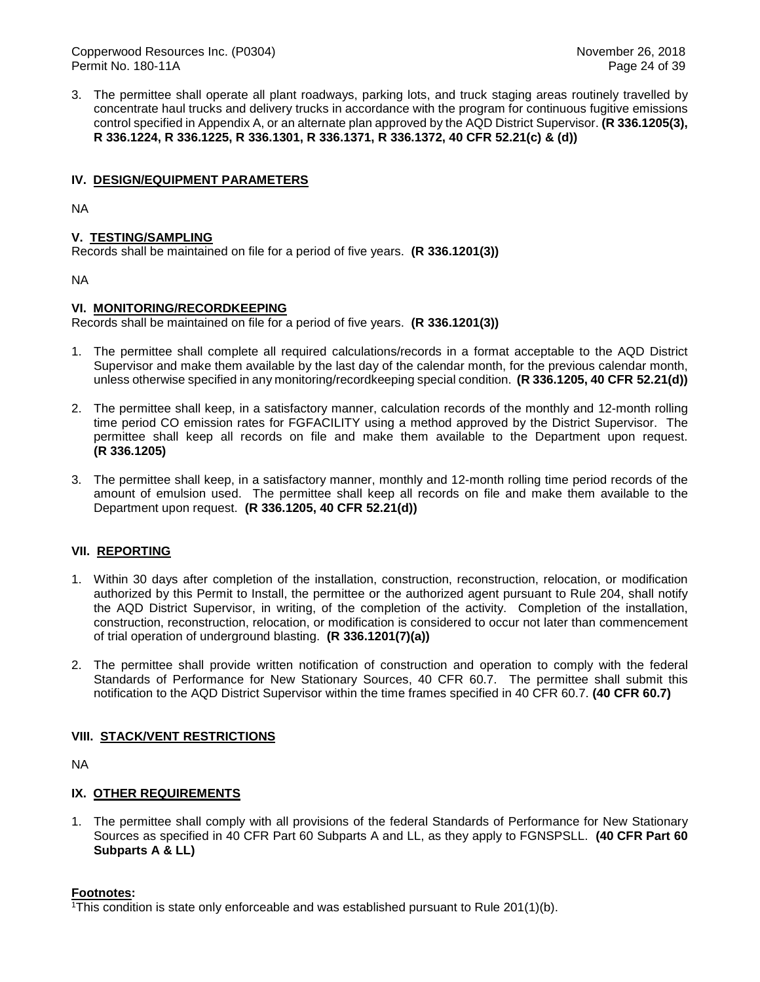3. The permittee shall operate all plant roadways, parking lots, and truck staging areas routinely travelled by concentrate haul trucks and delivery trucks in accordance with the program for continuous fugitive emissions control specified in Appendix A, or an alternate plan approved by the AQD District Supervisor. **(R 336.1205(3), R 336.1224, R 336.1225, R 336.1301, R 336.1371, R 336.1372, 40 CFR 52.21(c) & (d))**

# **IV. DESIGN/EQUIPMENT PARAMETERS**

NA

# **V. TESTING/SAMPLING**

Records shall be maintained on file for a period of five years. **(R 336.1201(3))**

NA

# **VI. MONITORING/RECORDKEEPING**

Records shall be maintained on file for a period of five years. **(R 336.1201(3))**

- 1. The permittee shall complete all required calculations/records in a format acceptable to the AQD District Supervisor and make them available by the last day of the calendar month, for the previous calendar month, unless otherwise specified in any monitoring/recordkeeping special condition. **(R 336.1205, 40 CFR 52.21(d))**
- 2. The permittee shall keep, in a satisfactory manner, calculation records of the monthly and 12-month rolling time period CO emission rates for FGFACILITY using a method approved by the District Supervisor. The permittee shall keep all records on file and make them available to the Department upon request. **(R 336.1205)**
- 3. The permittee shall keep, in a satisfactory manner, monthly and 12-month rolling time period records of the amount of emulsion used. The permittee shall keep all records on file and make them available to the Department upon request. **(R 336.1205, 40 CFR 52.21(d))**

### **VII. REPORTING**

- 1. Within 30 days after completion of the installation, construction, reconstruction, relocation, or modification authorized by this Permit to Install, the permittee or the authorized agent pursuant to Rule 204, shall notify the AQD District Supervisor, in writing, of the completion of the activity. Completion of the installation, construction, reconstruction, relocation, or modification is considered to occur not later than commencement of trial operation of underground blasting. **(R 336.1201(7)(a))**
- 2. The permittee shall provide written notification of construction and operation to comply with the federal Standards of Performance for New Stationary Sources, 40 CFR 60.7. The permittee shall submit this notification to the AQD District Supervisor within the time frames specified in 40 CFR 60.7. **(40 CFR 60.7)**

### **VIII. STACK/VENT RESTRICTIONS**

NA

# **IX. OTHER REQUIREMENTS**

1. The permittee shall comply with all provisions of the federal Standards of Performance for New Stationary Sources as specified in 40 CFR Part 60 Subparts A and LL, as they apply to FGNSPSLL. **(40 CFR Part 60 Subparts A & LL)**

### **Footnotes:**

1This condition is state only enforceable and was established pursuant to Rule 201(1)(b).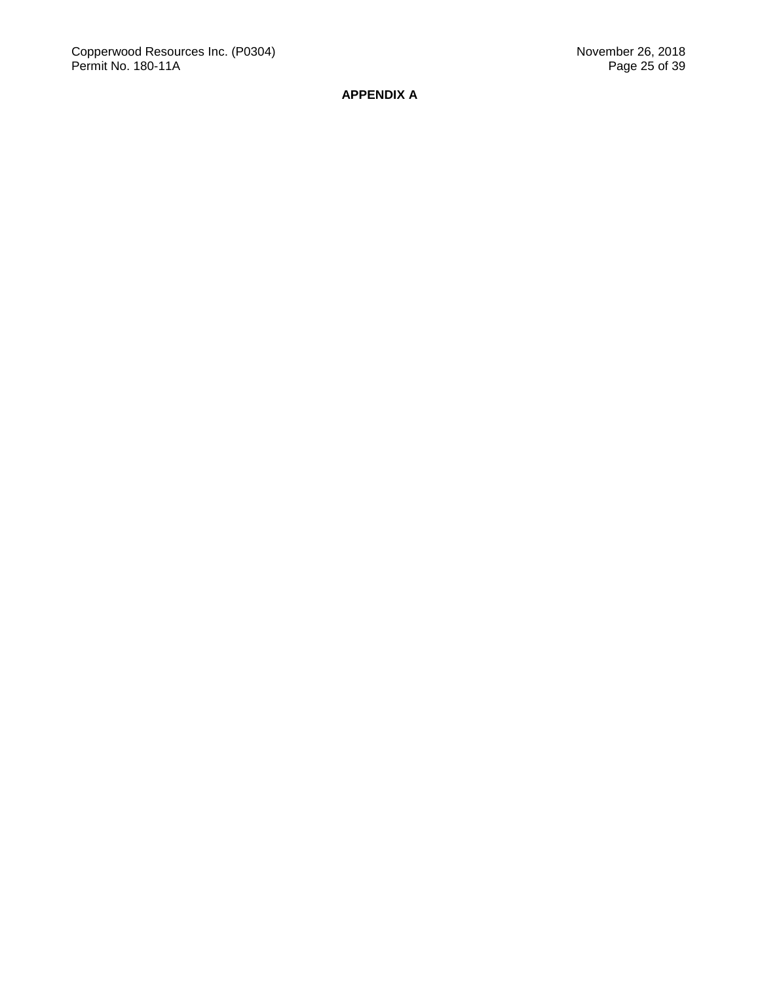# **APPENDIX A**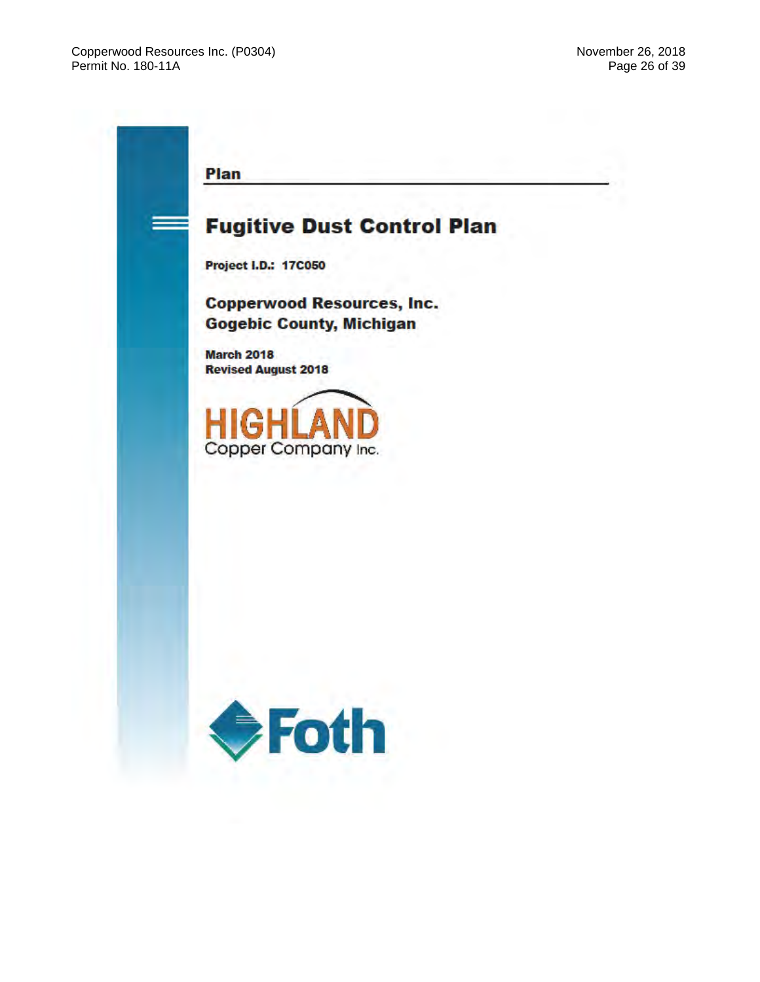Plan **Fugitive Dust Control Plan**  Project I.D.: 17C050 Copperwood Resources, Inc. Gogebic County, Michigan March 2018 Revised August 2018  $\begin{array}{c}\n\sqrt{1 + \mathbf{A}} \\
\hline\n\end{array}$ **HGI** Copper Company Inc. Foth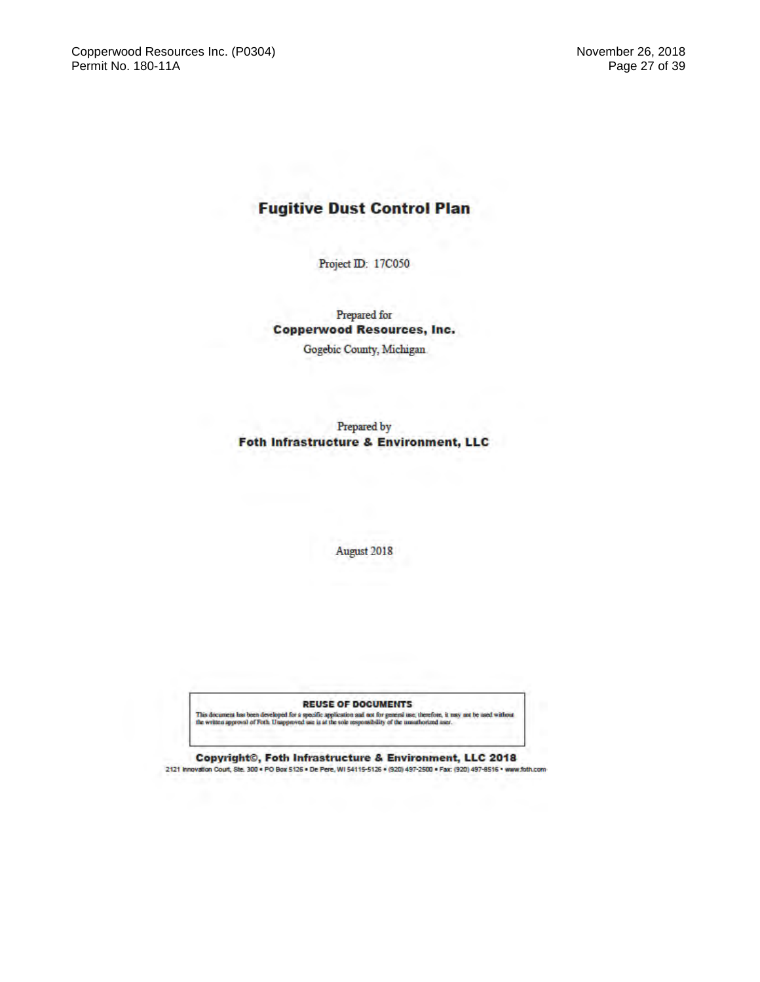# **Fugitive Dust Control Plan**

Project ID: 17C050

Prepared for **Copperwood Resources, Inc.** Gogebic County, Michigan

Prepared by Foth Infrastructure & Environment, LLC

August 2018

**REUSE OF DOCUMENTS** 

This document has been developed for a specific application and not for general use, therefore, it may not be used without the written approval of Foth. Unapproved use is at the sole responsibility of the numathorized user

Copyright©, Foth Infrastructure & Environment, LLC 2018 2121 Innovation Court, Ste. 300 . PO Box 5126 . De Pere, WI 54115-5126 . (920) 497-2500 . Fax: (920) 497-8516 . www.foth.com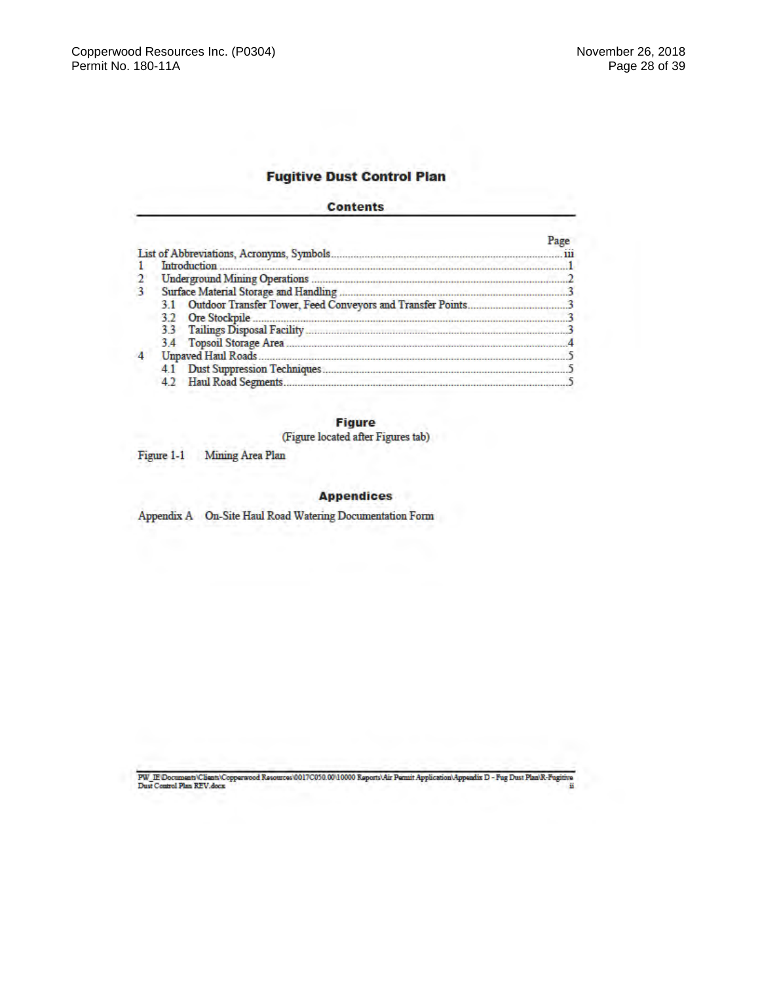# **Fugitive Dust Control Plan**

|  |  |  | <b>Contents</b> |  |
|--|--|--|-----------------|--|

| 31                 |  |
|--------------------|--|
|                    |  |
| 33                 |  |
| 34                 |  |
|                    |  |
|                    |  |
| Haul Road Segments |  |

# **Figure**

(Figure located after Figures tab)

Figure 1-1 Mining Area Plan

#### **Appendices**

Appendix A On-Site Haul Road Watering Docwnentation Form

PW\_IE\Documents\CSents\Copperatord Resources\0017C050.00\10000 Reports\Air Permit Application\Appeadix D - Fug Dust Plan\R-Fugitive Dust Control Plan REV.docx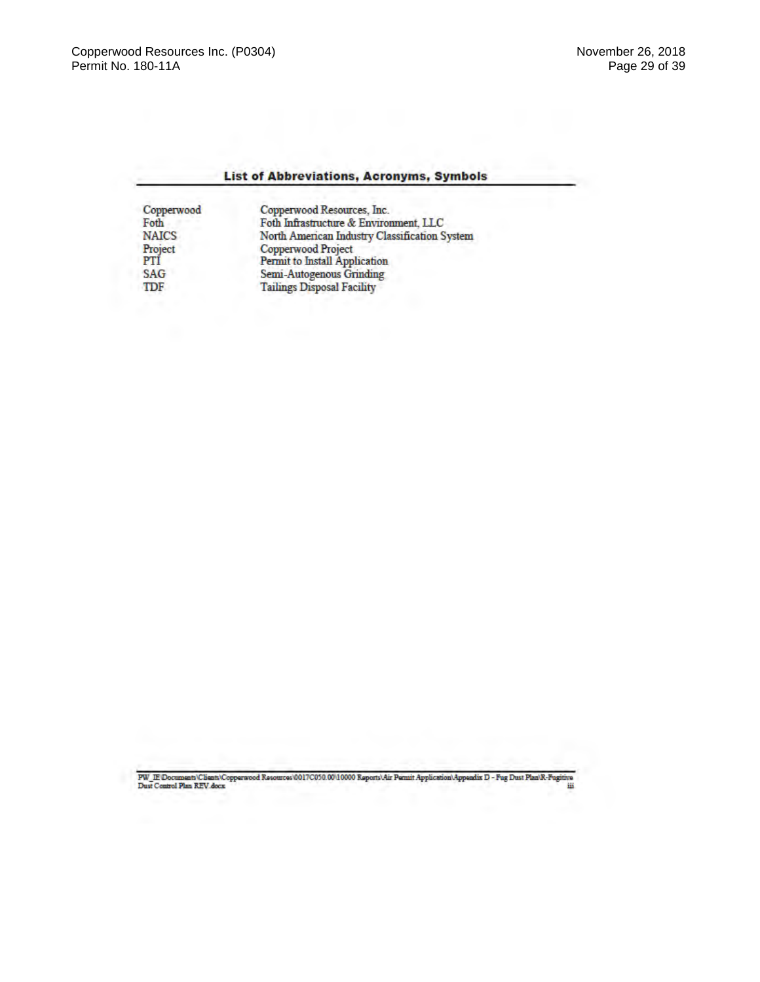# **List of Abbreviations, Acronyms, Symbols**

| Copperwood   | Copperwood Resources, Inc.                    |
|--------------|-----------------------------------------------|
| Foth         | Foth Infrastructure & Environment, LLC        |
| <b>NAICS</b> | North American Industry Classification System |
| Project      | Copperwood Project                            |
| PTI          | Permit to Install Application                 |
| SAG          | Semi-Autogenous Grinding                      |
| TDF          | <b>Tailings Disposal Facility</b>             |

PW\_IE\Documents\Clients\Copperatood Resources\0017C050.00\10000 Reports\Air Permit Application\Appeadix D - Fug Dust Plan\R-Fugitive<br>Dust Control Plan REV.docs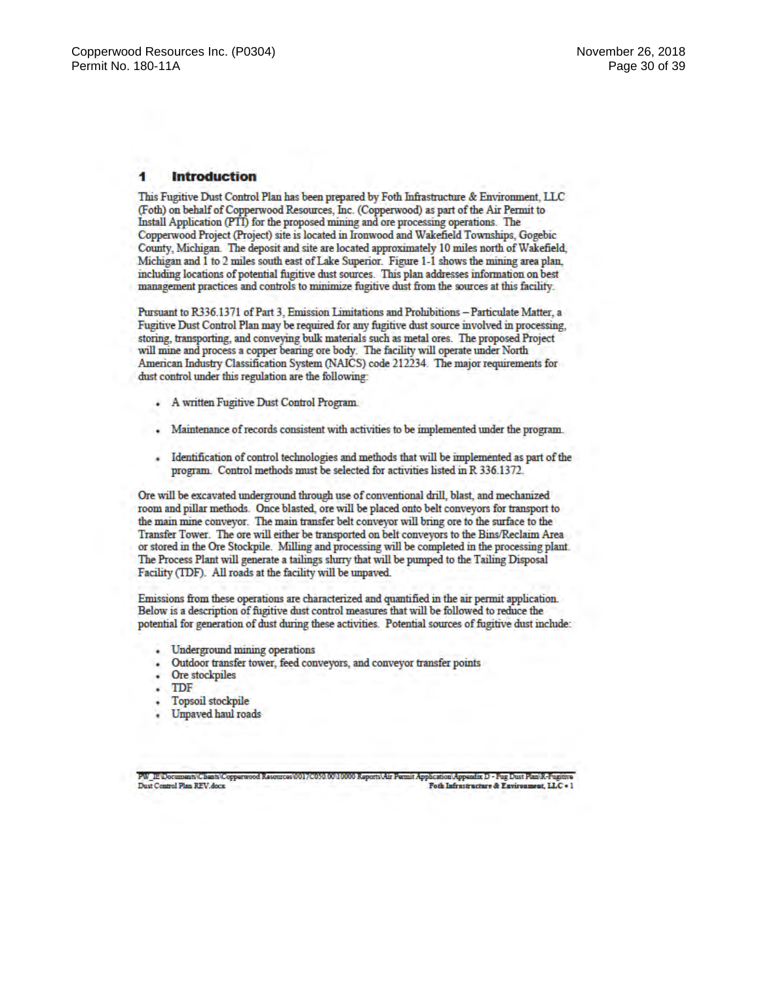# **1 Introduction**

This Fugitive Dust Control Plan has been prepared by Foth Infrastructure & Environment, LLC (Foth) on behalf of Coppenvood Resources, Inc. (Coppenvood) as part of the *A.ix* Permit to Install Application (PIT) for the proposed mining and ore processing operations. The Coppenvood Project (Project) site is located in Ironwood and Wakefield Townships, Gogebic County, Michigan. The deposit and site are located approximately 10 miles north of Wakefield, Michigan and 1 to 2 miles south east of lake Supetior. Figure 1-1 shows the mining area plan, including locations of potential fugitive dust sources. This plan addresses information on best management practices and controls to minimize fugitive dust from the sources at this facility.

Pursuant to R336.1371 of Part 3, Emission Limitations and Prohibitions - Particulate Matter, a Fugitive Dust Control Plan may be required for any fugitive dust source involved in processing, storing, transporting, and conveying bulk materials such as metal ores. The proposed Project will mine and process **a** copper bearing ore body. The facility will operate under North American Industry Classification System (NAICS) code 212234. The major requirements for dust control under this regulation are the following:

- **A** written Fugitive Dust Control Program.
- Maintenance of records consistent with activities to **be** implemented under the program.
- Identification of control technologies and methods that will **be** implemented as part of the program. Control methods must be selected for activities listed in R 336. 1372.

Ore will be excavated underground through use of conventional drill, blast, and mechanized room and pillar methods. Once blasted, ore will be placed onto belt conveyors for transport to the main mine conveyor. The main transfer belt conveyor will bring ore to the surface to the Transfer Tower. The ore ,vill either **be** transported on belt conveyors to the Bins/Reclaim Area or stored in the Ore Stockpile. Milling and processing will be completed in the processing plant. The Process Plant will generate a tailings slurry that will be pumped to the Tailing Disposal Facility (TDF). All roads at the facility will be unpaved.

Emissions from these operations are characterized and quantified in the air permit application. Below is a description of fugitive dust control measures that will be followed to reduce the potential for generation of dust during these activities. Potential sources of fugitive dust include:

- Underground mining operations
- **Outdoor transfer tower, feed conveyors., and conveyor transfer points**
- Ore stockpiles
- TDF
- Topsoil stockpile
- Unpaved haul roads

**PW \_lfnnb™"" •• .::a m ,&11aisamu6666 J&,pomtGmAppm,.4pp.,i.:f& n. 1..,&1 J.&.,lf.h\$6 Du.~Coaaol Pwa JIEV.dox:i ir.a r.&iu.-.awe A-!~ LLC** • I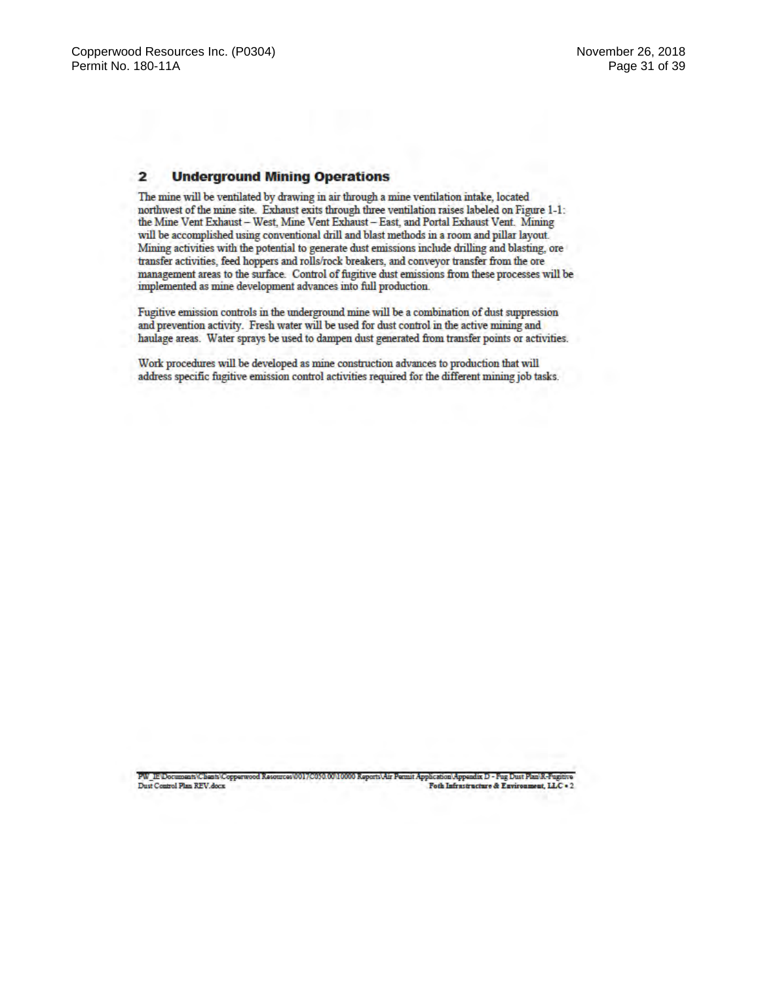# **2 Underground Mining Operations**

The mine will be ventilated by drawing in air through a mine ventilation intake, located northwest of the mine site. Exhaust exits through three ventilation raises labeled on Figure 1-1: the Mine Vent Exhaust - West, Mine Vent Exhaust - East, and Portal Exhaust Vent. Mining will **be** accomplished using conventional drill and blast methods in a room and pillar layout. Mining activities with the potential to generate dust emissions include drilling and blasting, ore transfer activities, feed hoppers and rolls/rock breakers, and conveyor transfer from the ore management areas to the surface. Control of fugitive dust emissions from these processes will be implemented as mine development advances into full production.

Fugitive emission controls in the underground mine will be a combination of dust suppression and prevention activity. Fresh water will be used for dust control in the active mining and haulage areas. Water sprays be used to dampen dust generated from transfer points or activities.

Work procedures will **be** developed as mine construction advances to production that will address specific fugitive emission control activities required for the different mining job tasks.

PW \_IE\Document\Cheats\Copperwood Resources\0017C050.00\10000 Reports\Air Permit Application\Appendix D - Fug Dust Plank-Fugitive Pust Coantrol Plan REV.docs: <br>Poth Infrastructure & Environment, LLC • 2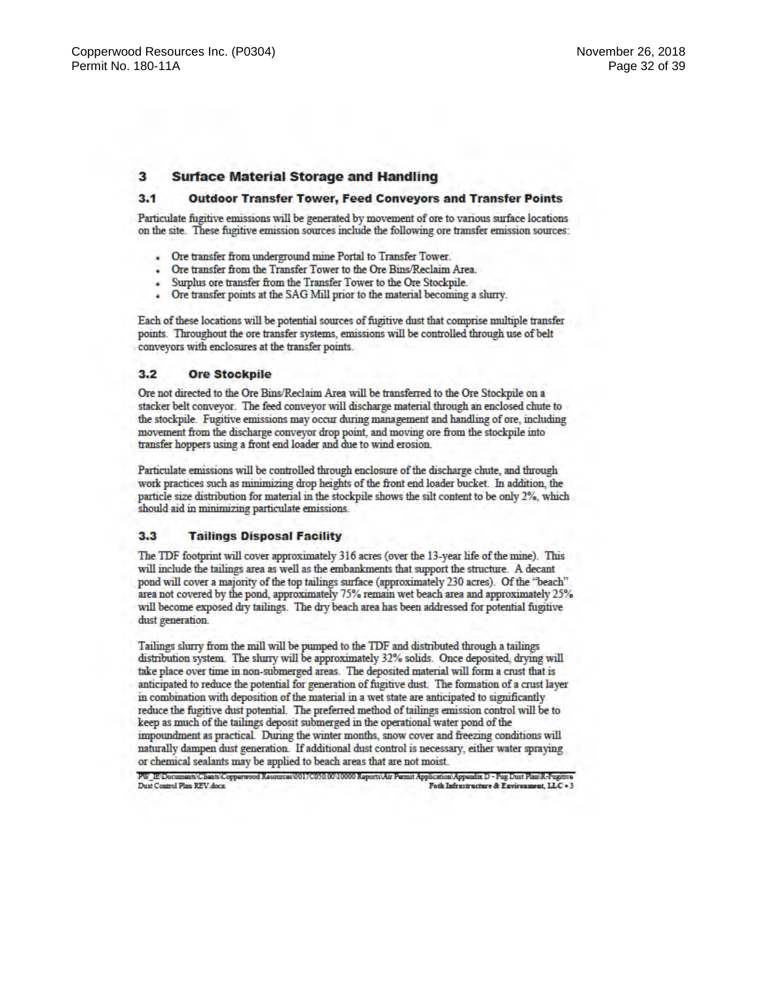### **3 Surface Material Storage and Handling**

#### **3, 1 Outdoor Transfer Tower, Feed Conveyors and Transfer Points**

**Particulate fugitive emissions will be generated by movement of ore to various surface locations on the site. These fugitive emission sources include the following ore transfer emission sources:** 

- Ore transfer from underground mine Portal to Transfer Tower.
- Ore transfer from the Transfer Tower to the Ore Bins/Reclaim Area.
- Surplus ore transfer from the Transfer Tower to the Ore Stockpile.
- Ore transfer points at the SAG Mill prior to the material becoming a slurry.

Each of these locations will be potential sources of fugitive dust that comprise multiple transfer points. Throughout the ore transfer systems, emissions will be controlled through use of belt **conveyors with enclosures at the transfer points.** 

#### **3,2 Ore Stockpile**

Ore not directed to the Ore Bins/Reclaim Area will be transferred to the Ore Stockpile on a stacker belt conveyor. The feed conveyor will discharge material through an enclosed chute to the stockpile. Fugitive emissions may occur during management and handling of ore, including movement from the discharge conveyor drop point, and moving ore from the stockpile into transfer hoppers using a front end loader and due to wind erosion.

Particulate emissions will be controlled through enclosure of the discharge chute, and through **work practices such as minimizing drop heights of the front end loader bucket In addition, the**  particle size distribution for material in the stockpile shows the silt content to be only 2%, which should aid in minimizing particulate emissions.

#### **3,3 Tailings Disposal Facility**

The TDF footprint will cover approximately 316 acres (over the 13-year life of the mine). This will include the tailings area as well as the embankments that support the structure. A decant pond will cover a majority of the top tailings surface (approximately 230 acres). Of the "beach" area not covered by the pond, approximately 75% remain wet beach area and approximately 25% will become exposed dry tailings. The dry beach area has been addressed for potential fugitive dust generation.

Tailings slurry from the mill will be pumped to the TDF and distributed through a tailings distribution system. The slurry will be approximately 32% solids. Once deposited, drying will take place over time in non-submerged areas. The deposited material will form a crust that is anticipated to reduce the potential for generation of fugitive dust. The formation of a crust layer in combination with deposition of the material in a wet state are anticipated to significantly reduce the fugitive dust potential. The preferred method of tailings emission control will **be** to keep as much of the tailings deposit submerged in the operational water pond of the impoundment as practical. During the winter months, snow cover and freezing conditions will naturally dampen dust generation. If additional dust control is necessary, either water spraying or chemical sealants may **be** applied to beach areas that are not moist.

PW \_ IF\Documents\Chents\Copperwood Resources\0017C050.00\10000 Reports\Air Permit Application\Appendix D - Fug Dust Plan\R-Fugitive Dutilized Plus Reviews 2001 Comparison in additional dust control is necessary, either water spraying<br>or chemical sealants may be applied to beach areas that are not moist.<br>**PW\_IEVDocument\Chan's\Chan's\Chan's\Chan's\Chan'**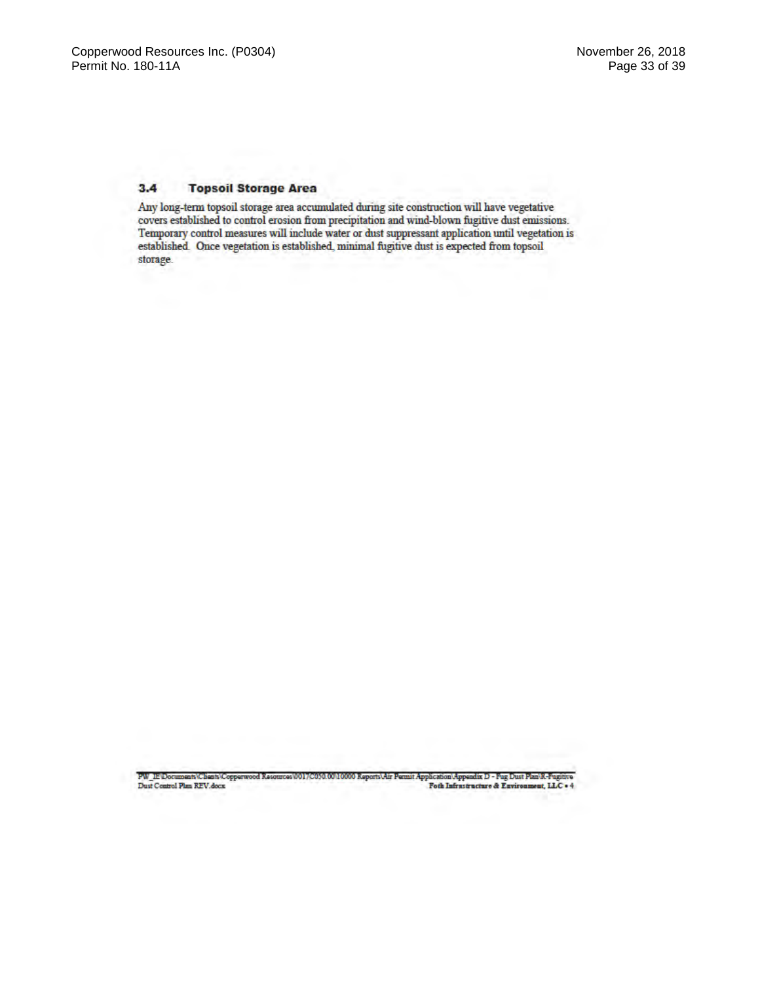#### $3.4$ **Topsoil Storage Area**

Any long-term topsoil storage area accumulated during site construction will have vegetative covers established to control erosion from precipitation and wind-blown fugitive dust emissions. Temporary control measures will include water or dust suppressant application until vegetation is established. Once vegetation is established, minimal fugitive dust is expected from topsoil storage.

PW\_IE\Document\Chant\Copperwood Resources\0017C050.00\10000 Reports\Air Permit Application\Appendix D - Fug Dust Plan\R-Fugitive<br>Dust Control Plan REV.docs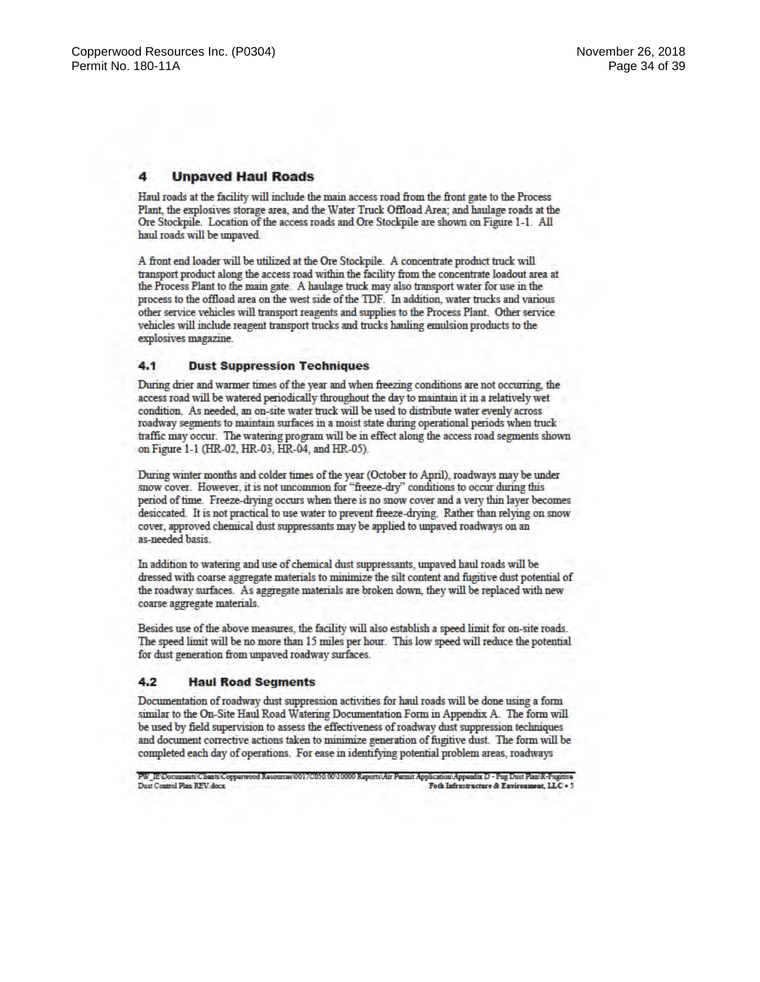# **4 Unpaved Haul Roads**

Haul roads at the facility will include the main access road from the front gate to the Process Plant, the explosives storage area, and the Water Truck Offload Area; and haulage roads at the Ore Stockpile. Location of the access roads and Ore Stockpile are shown on Figure 1-1. All haul roads will be unpaved.

A front end loader will be utilized at the Ore Stockpile. A concentrate product truck will transport product along the access road within the facility from the concentrate loadout area at the Process Plant to the main gate. A haulage truck may also transport water for use in the process to the offload area on the west side of the TDF. In addition, water trucks and various other service vehicles will transport reagents and supplies to the Process Plant. Other service vehicles will include reagent transport trucks and trucks hauling emulsion products to the **explosives magazine.** 

#### **4.1 Dust Suppression Techniques**

During drier and warmer times of the year and when freezing conditions are uot occwring, the access road will **be** watered periodically throughout the day to maintain it in a relatively wet condition. As needed, an on-site water truck will **be** used to distribute water evenly across  $r$ oadway segments to maintain surfaces in a moist state during operational periods when truck traffic may occur. The watering program will be in effect along the access road segments shown on Figure 1-1 (HR-02, HR-03, HR-04, and HR-05).

During winter months and colder times of the year (October to April), roadways may be under **snow cover. However, it is not uncommon for "freeze-dry" conditions to ocrur during this**  period of time. Freeze-drying occurs when there is no snow cover and a very thin layer becomes desiccated. It is not practical to use water to prevent freeze-drying. Rather than relying on snow cover, approved chemical dust suppressants may be applied to unpaved roadways on an as-needed basis.

In addition to watering and use of chemical dust suppressants, unpaved haul roads will **be dressed with coarse aggregate materials to minimize the silt content and fugitive dust potential of**  the roadway surfaces. As aggregate materials are broken down, they will **be** replaced with uew **coarse aggregate materials.** 

Besides use of the above measures, the facility will also establish a speed limit for on-site roads. The speed limit will be no more than 15 miles per hour. This low speed will reduce the potential for dust generation from unpaved roadway surfaces.

### **4,2 Haul Road Segments**

Documentation of roadway dust suppression activities for haul roads will be done using a form similar to the On-Site Haul Road Watering Documentation Form in Appendix A. The form will be used by field supervision to assess the effectiveness of roadway dust suppression techniques **and document corrective actions taken to minimize generation of fugitive dust. The form will be** 

completed each day of operations. For ease in identifying potential problem areas, roadways<br>PW\_IEU.commant\Chara\Copparwood Resources\0017C050.00110000 Reports\Air Permit Application\Appendix D - Pug Dust Pam\R-Pugitive<br>Du PW LE\Document\Chents\Copperwood Resources\0017C050.00\10000 Reports\Air Permit Application\Appendix D - Fug Dust Plan\R-Fugitive 3 <br>1. Poth Infrastructure & Environment, LLC + 5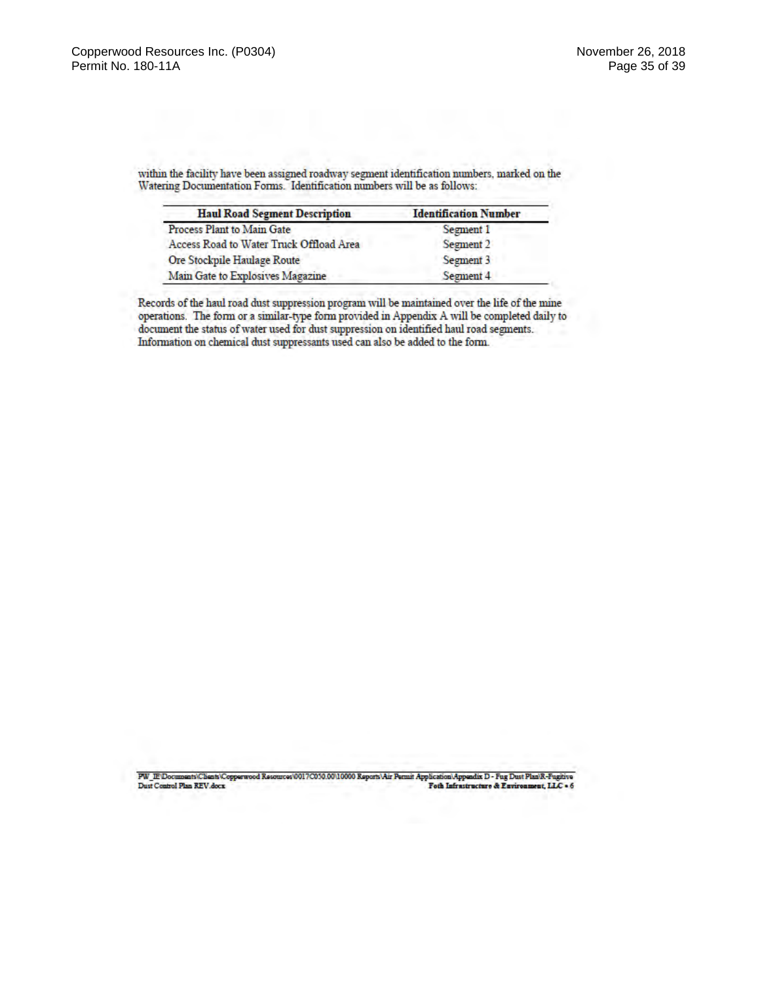within the facility have been assigned roadway segment identification numbers, marked on the Watering Documentation Forms. Identification numbers will be as follows:

| <b>Haul Road Segment Description</b>    | <b>Identification Number</b> |  |
|-----------------------------------------|------------------------------|--|
| Process Plant to Main Gate              | Segment 1                    |  |
| Access Road to Water Truck Offload Area | Segment 2                    |  |
| Ore Stockpile Haulage Route             | Segment 3                    |  |
| Main Gate to Explosives Magazine        | Segment 4                    |  |

Records of the haul road dust suppression program will be maintained over the life of the mine operations. The form or a similar-type form provided in Appendix A will be completed daily to document the status of water used for dust suppression on identified haul road segments. Information on chemical dust suppressants used can also be added to the form.

PW\_IE\Documenti@Senti\Copperwood Resources\0017C050.00\10000 Reports\Air Permit Application\Appendix D-Fug Dust Plan\R-Fugitive<br>Dust Control Plan REV.dock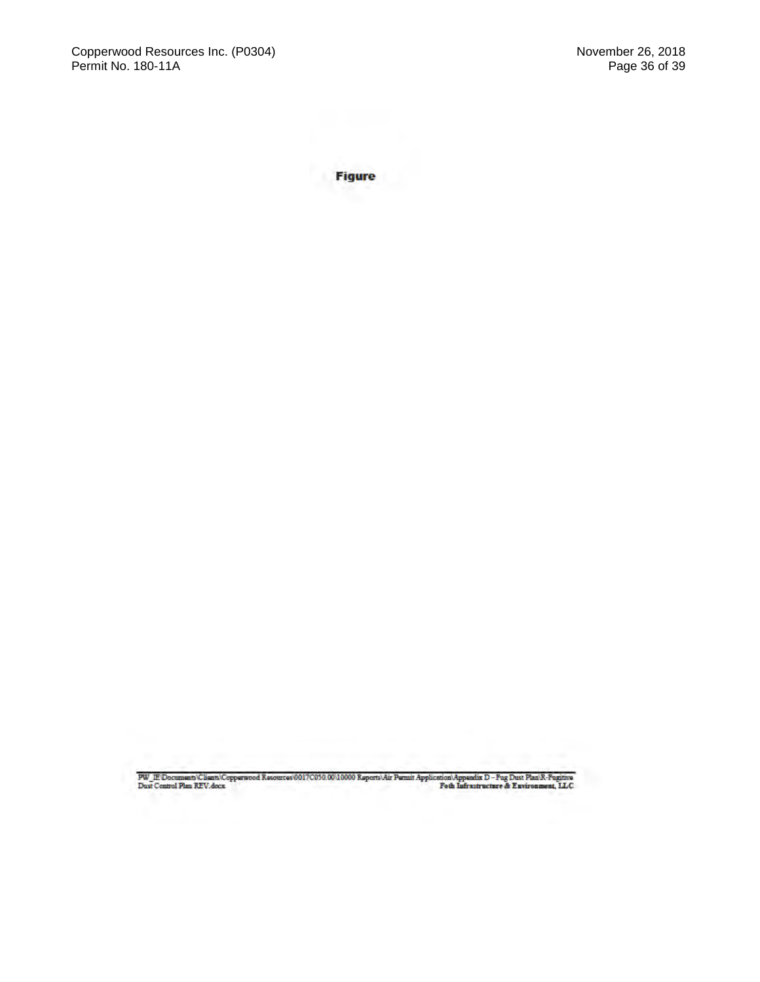**Figure** 

PW IE/Documents/Clients/Copperwood Resources/0017C050.00/10000 Reports/Air Permit Application/Appendix D – Fug Dust Plan/R-Fugitive<br>Dust Control Plan REV.docs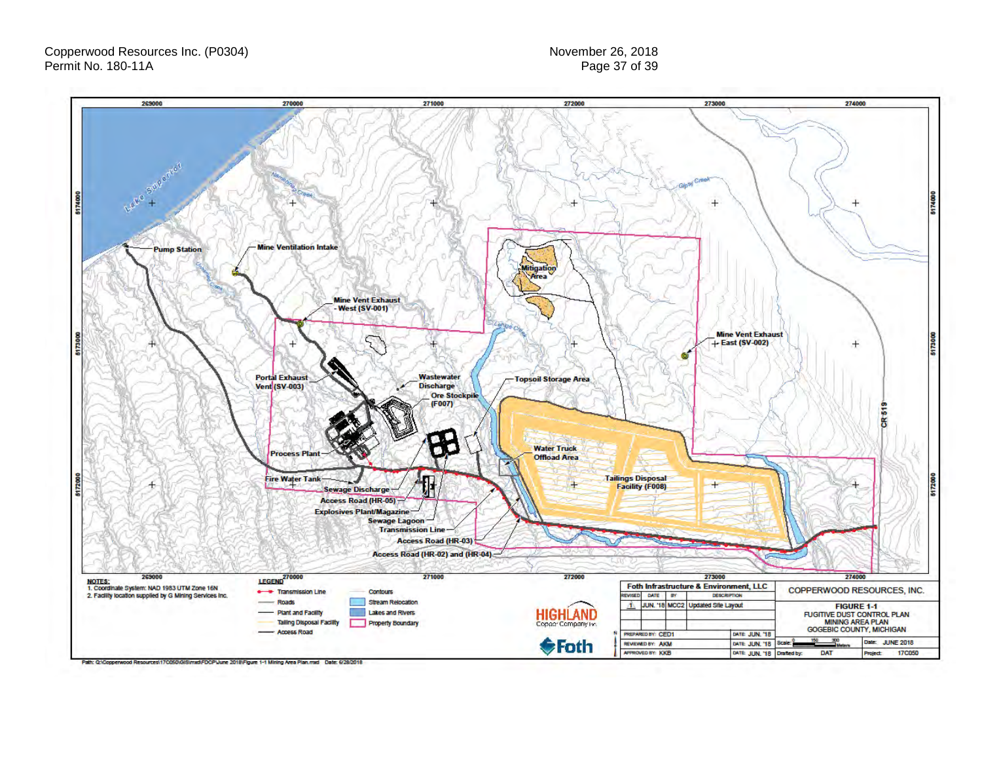Copperwood Resources Inc. (P0304) Permit No. 180-11A

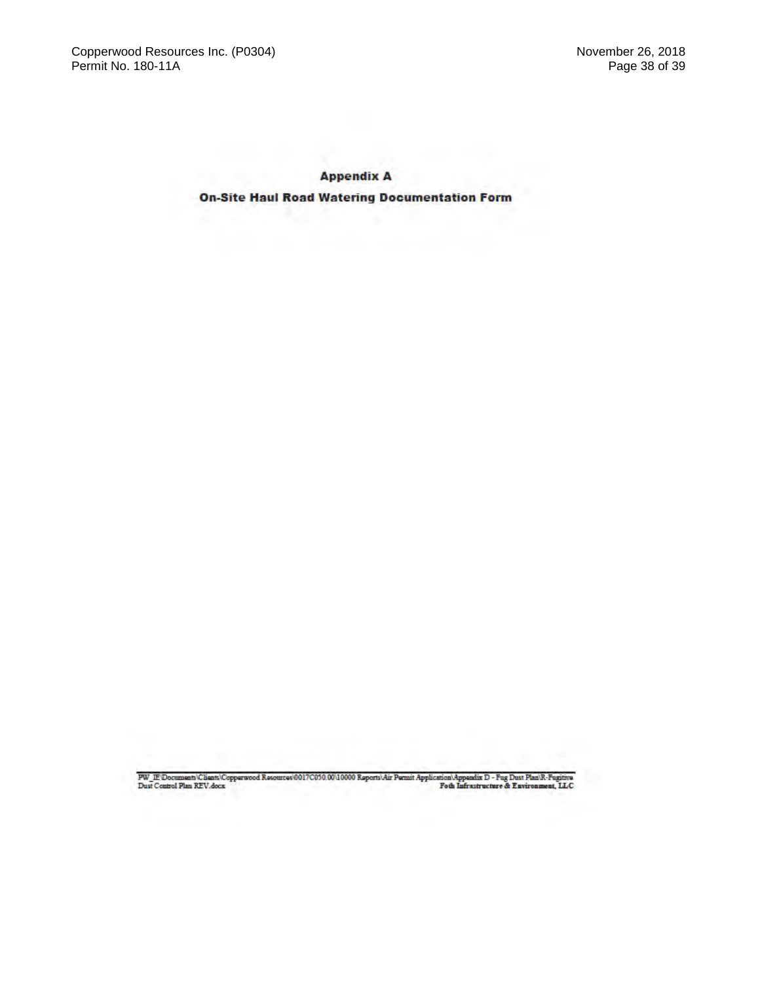**Appendix A** 

**On-Site Haul Road Watering Documentation Form** 

PW\_IE\Documents\Cisans\Copparatood Resources\0017C050.00\10000 Reports\Air Parmit Application\Appendix D - Fug Dust Plan\R-Fugitive<br>Dust Control Plan REV.docs